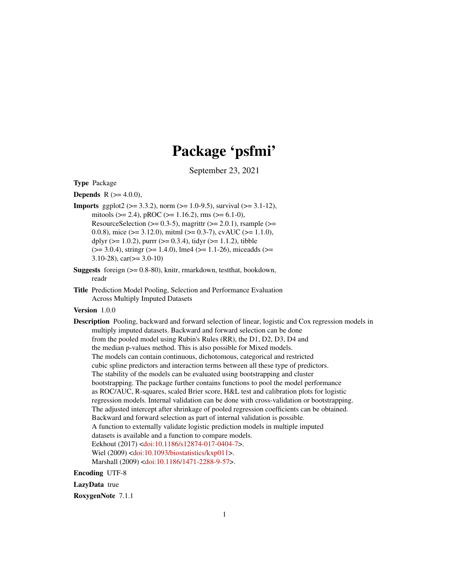# Package 'psfmi'

September 23, 2021

Type Package

**Depends** R  $(>= 4.0.0)$ ,

- **Imports** ggplot2 ( $>= 3.3.2$ ), norm ( $>= 1.0-9.5$ ), survival ( $>= 3.1-12$ ), mitools ( $>= 2.4$ ), pROC ( $>= 1.16.2$ ), rms ( $>= 6.1-0$ ), ResourceSelection ( $>= 0.3-5$ ), magrittr ( $>= 2.0.1$ ), rsample ( $>=$ 0.0.8), mice ( $> = 3.12.0$ ), mitml ( $> = 0.3-7$ ), cvAUC ( $> = 1.1.0$ ), dplyr ( $>= 1.0.2$ ), purrr ( $>= 0.3.4$ ), tidyr ( $>= 1.1.2$ ), tibble  $(>= 3.0.4)$ , stringr  $(>= 1.4.0)$ , lme4  $(>= 1.1-26)$ , miceadds  $(>= 1.1-26)$ 3.10-28), car( $>=$  3.0-10)
- Suggests foreign (>= 0.8-80), knitr, rmarkdown, testthat, bookdown, readr
- Title Prediction Model Pooling, Selection and Performance Evaluation Across Multiply Imputed Datasets

#### Version 1.0.0

Description Pooling, backward and forward selection of linear, logistic and Cox regression models in multiply imputed datasets. Backward and forward selection can be done from the pooled model using Rubin's Rules (RR), the D1, D2, D3, D4 and the median p-values method. This is also possible for Mixed models. The models can contain continuous, dichotomous, categorical and restricted cubic spline predictors and interaction terms between all these type of predictors. The stability of the models can be evaluated using bootstrapping and cluster bootstrapping. The package further contains functions to pool the model performance as ROC/AUC, R-squares, scaled Brier score, H&L test and calibration plots for logistic regression models. Internal validation can be done with cross-validation or bootstrapping. The adjusted intercept after shrinkage of pooled regression coefficients can be obtained. Backward and forward selection as part of internal validation is possible. A function to externally validate logistic prediction models in multiple imputed datasets is available and a function to compare models. Eekhout (2017) [<doi:10.1186/s12874-017-0404-7>](https://doi.org/10.1186/s12874-017-0404-7). Wiel (2009) [<doi:10.1093/biostatistics/kxp011>](https://doi.org/10.1093/biostatistics/kxp011). Marshall (2009) [<doi:10.1186/1471-2288-9-57>](https://doi.org/10.1186/1471-2288-9-57).

Encoding UTF-8

LazyData true

RoxygenNote 7.1.1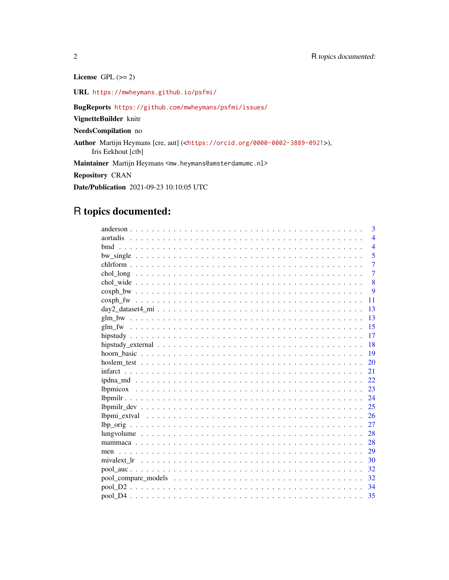License GPL  $(>= 2)$ 

URL <https://mwheymans.github.io/psfmi/>

BugReports <https://github.com/mwheymans/psfmi/issues/>

VignetteBuilder knitr

NeedsCompilation no

Author Martijn Heymans [cre, aut] (<<https://orcid.org/0000-0002-3889-0921>>), Iris Eekhout [ctb]

Maintainer Martijn Heymans <mw.heymans@amsterdamumc.nl>

Repository CRAN

Date/Publication 2021-09-23 10:10:05 UTC

# R topics documented:

| 3                                                                                                                     |
|-----------------------------------------------------------------------------------------------------------------------|
| $\overline{\mathcal{A}}$                                                                                              |
| $\overline{4}$                                                                                                        |
| 5                                                                                                                     |
| $\overline{7}$                                                                                                        |
| $\overline{7}$                                                                                                        |
| 8                                                                                                                     |
| 9                                                                                                                     |
| 11                                                                                                                    |
| 13<br>$day2\_dataset4\_mi \ldots \ldots \ldots \ldots \ldots \ldots \ldots \ldots \ldots \ldots \ldots \ldots \ldots$ |
| 13                                                                                                                    |
| 15                                                                                                                    |
| 17                                                                                                                    |
| 18                                                                                                                    |
| 19                                                                                                                    |
| 20                                                                                                                    |
| 21                                                                                                                    |
| 22                                                                                                                    |
| 23                                                                                                                    |
| 24                                                                                                                    |
| 25                                                                                                                    |
| 26                                                                                                                    |
| 27                                                                                                                    |
| 28                                                                                                                    |
| 28                                                                                                                    |
|                                                                                                                       |
| -30                                                                                                                   |
| 32                                                                                                                    |
| 32                                                                                                                    |
| 34                                                                                                                    |
|                                                                                                                       |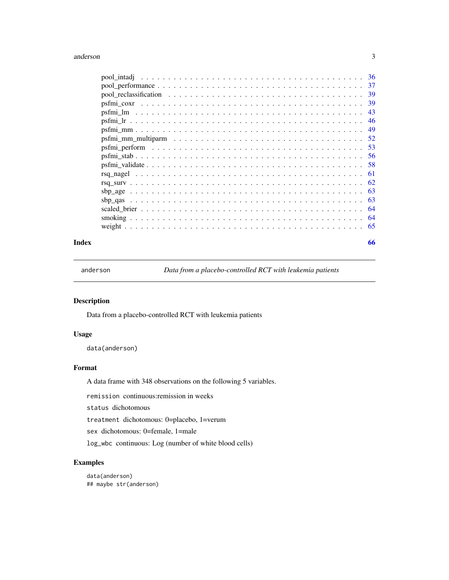#### <span id="page-2-0"></span>anderson 3

| $\text{pool\_performance} \dots \dots \dots \dots \dots \dots \dots \dots \dots \dots \dots \dots \dots \dots \dots \dots$ | -37 |
|----------------------------------------------------------------------------------------------------------------------------|-----|
|                                                                                                                            | 39  |
|                                                                                                                            | 39  |
|                                                                                                                            | 43  |
|                                                                                                                            | 46  |
|                                                                                                                            | 49  |
| psfmi mm multiparm $\dots \dots \dots \dots \dots \dots \dots \dots \dots \dots \dots \dots \dots \dots$                   | .52 |
|                                                                                                                            | .53 |
|                                                                                                                            | -56 |
|                                                                                                                            | -58 |
|                                                                                                                            | -61 |
|                                                                                                                            |     |
|                                                                                                                            | -63 |
|                                                                                                                            | -63 |
|                                                                                                                            | -64 |
|                                                                                                                            | -64 |
|                                                                                                                            | -65 |
|                                                                                                                            |     |

#### **Index** [66](#page-65-0)

anderson *Data from a placebo-controlled RCT with leukemia patients*

# Description

Data from a placebo-controlled RCT with leukemia patients

# Usage

data(anderson)

# Format

A data frame with 348 observations on the following 5 variables.

remission continuous:remission in weeks

status dichotomous

treatment dichotomous: 0=placebo, 1=verum

sex dichotomous: 0=female, 1=male

log\_wbc continuous: Log (number of white blood cells)

# Examples

data(anderson) ## maybe str(anderson)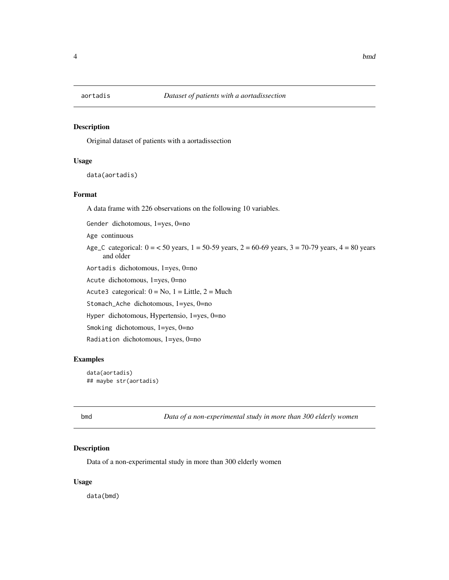<span id="page-3-0"></span>

Original dataset of patients with a aortadissection

# Usage

data(aortadis)

#### Format

A data frame with 226 observations on the following 10 variables.

Gender dichotomous, 1=yes, 0=no

Age continuous

Age\_C categorical:  $0 = 50$  years,  $1 = 50-59$  years,  $2 = 60-69$  years,  $3 = 70-79$  years,  $4 = 80$  years and older

Aortadis dichotomous, 1=yes, 0=no

Acute dichotomous, 1=yes, 0=no

Acute3 categorical:  $0 = No$ ,  $1 = Little$ ,  $2 = Much$ 

Stomach\_Ache dichotomous, 1=yes, 0=no

Hyper dichotomous, Hypertensio, 1=yes, 0=no

Smoking dichotomous, 1=yes, 0=no

Radiation dichotomous, 1=yes, 0=no

#### Examples

data(aortadis) ## maybe str(aortadis)

bmd *Data of a non-experimental study in more than 300 elderly women*

#### Description

Data of a non-experimental study in more than 300 elderly women

#### Usage

data(bmd)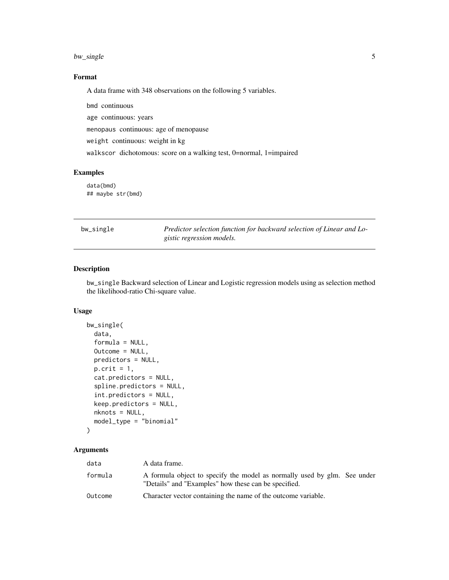# <span id="page-4-0"></span>bw\_single 5

# Format

A data frame with 348 observations on the following 5 variables.

bmd continuous age continuous: years menopaus continuous: age of menopause weight continuous: weight in kg walkscor dichotomous: score on a walking test, 0=normal, 1=impaired

#### Examples

data(bmd) ## maybe str(bmd)

| bw_single |  |  |
|-----------|--|--|
|           |  |  |

ingle Predictor selection function for backward selection of Linear and Lo*gistic regression models.*

#### Description

bw\_single Backward selection of Linear and Logistic regression models using as selection method the likelihood-ratio Chi-square value.

#### Usage

```
bw_single(
  data,
  formula = NULL,
  Outcome = NULL,
  predictors = NULL,
  p.crit = 1,
  cat.predictors = NULL,
  spline.predictors = NULL,
  int.predictors = NULL,
  keep.predictors = NULL,
  nknots = NULL,
  model_type = "binomial"
)
```
#### Arguments

| data    | A data frame.                                                                                                                    |
|---------|----------------------------------------------------------------------------------------------------------------------------------|
| formula | A formula object to specify the model as normally used by glm. See under<br>"Details" and "Examples" how these can be specified. |
| Outcome | Character vector containing the name of the outcome variable.                                                                    |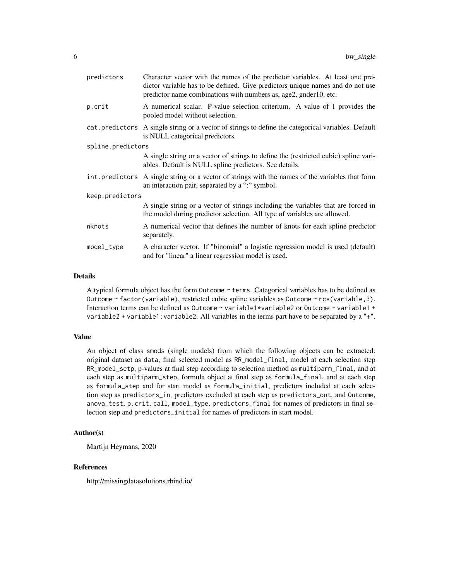| predictors        | Character vector with the names of the predictor variables. At least one pre-<br>dictor variable has to be defined. Give predictors unique names and do not use<br>predictor name combinations with numbers as, age2, gnder10, etc. |  |
|-------------------|-------------------------------------------------------------------------------------------------------------------------------------------------------------------------------------------------------------------------------------|--|
| p.crit            | A numerical scalar. P-value selection criterium. A value of 1 provides the<br>pooled model without selection.                                                                                                                       |  |
|                   | cat. predictors A single string or a vector of strings to define the categorical variables. Default<br>is NULL categorical predictors.                                                                                              |  |
| spline.predictors |                                                                                                                                                                                                                                     |  |
|                   | A single string or a vector of strings to define the (restricted cubic) spline vari-<br>ables. Default is NULL spline predictors. See details.                                                                                      |  |
|                   | int. predictors A single string or a vector of strings with the names of the variables that form<br>an interaction pair, separated by a ":" symbol.                                                                                 |  |
| keep.predictors   |                                                                                                                                                                                                                                     |  |
|                   | A single string or a vector of strings including the variables that are forced in<br>the model during predictor selection. All type of variables are allowed.                                                                       |  |
| nknots            | A numerical vector that defines the number of knots for each spline predictor<br>separately.                                                                                                                                        |  |
| model_type        | A character vector. If "binomial" a logistic regression model is used (default)<br>and for "linear" a linear regression model is used.                                                                                              |  |

#### Details

A typical formula object has the form Outcome ~ terms. Categorical variables has to be defined as Outcome ~ factor(variable), restricted cubic spline variables as Outcome ~ rcs(variable,3). Interaction terms can be defined as Outcome ~ variable1\*variable2 or Outcome ~ variable1 + variable2 + variable1:variable2. All variables in the terms part have to be separated by a "+".

#### Value

An object of class smods (single models) from which the following objects can be extracted: original dataset as data, final selected model as RR\_model\_final, model at each selection step RR\_model\_setp, p-values at final step according to selection method as multiparm\_final, and at each step as multiparm\_step, formula object at final step as formula\_final, and at each step as formula\_step and for start model as formula\_initial, predictors included at each selection step as predictors\_in, predictors excluded at each step as predictors\_out, and Outcome, anova\_test, p.crit, call, model\_type, predictors\_final for names of predictors in final selection step and predictors\_initial for names of predictors in start model.

#### Author(s)

```
Martijn Heymans, 2020
```
# References

http://missingdatasolutions.rbind.io/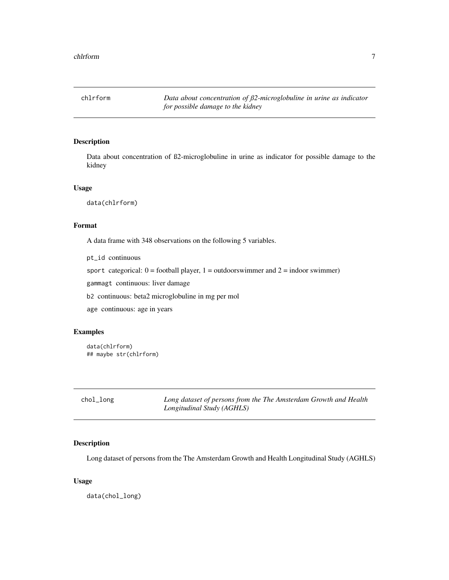<span id="page-6-0"></span>chlrform *Data about concentration of ß2-microglobuline in urine as indicator for possible damage to the kidney*

# Description

Data about concentration of ß2-microglobuline in urine as indicator for possible damage to the kidney

#### Usage

data(chlrform)

# Format

A data frame with 348 observations on the following 5 variables.

pt\_id continuous

sport categorical:  $0 =$  football player,  $1 =$  outdoorswimmer and  $2 =$  indoor swimmer)

gammagt continuous: liver damage

b2 continuous: beta2 microglobuline in mg per mol

age continuous: age in years

#### Examples

```
data(chlrform)
## maybe str(chlrform)
```

| chol_long | Long dataset of persons from the The Amsterdam Growth and Health |
|-----------|------------------------------------------------------------------|
|           | Longitudinal Study (AGHLS)                                       |

# Description

Long dataset of persons from the The Amsterdam Growth and Health Longitudinal Study (AGHLS)

#### Usage

data(chol\_long)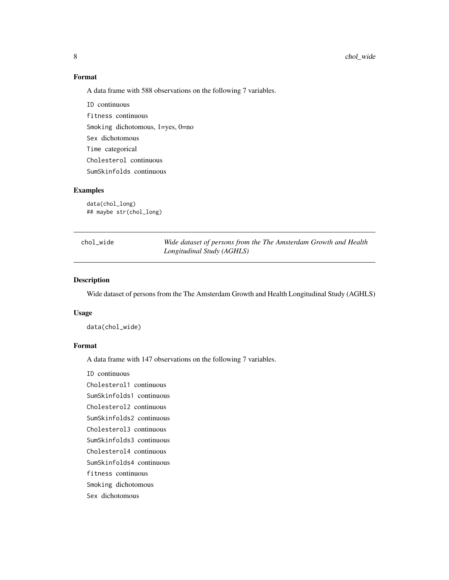# <span id="page-7-0"></span>Format

A data frame with 588 observations on the following 7 variables.

ID continuous fitness continuous Smoking dichotomous, 1=yes, 0=no Sex dichotomous Time categorical Cholesterol continuous SumSkinfolds continuous

#### Examples

data(chol\_long) ## maybe str(chol\_long)

| chol wide | Wide dataset of persons from the The Amsterdam Growth and Health |
|-----------|------------------------------------------------------------------|
|           | Longitudinal Study (AGHLS)                                       |

#### Description

Wide dataset of persons from the The Amsterdam Growth and Health Longitudinal Study (AGHLS)

#### Usage

data(chol\_wide)

#### Format

A data frame with 147 observations on the following 7 variables.

ID continuous

Cholesterol1 continuous

SumSkinfolds1 continuous

Cholesterol2 continuous

SumSkinfolds2 continuous Cholesterol3 continuous

SumSkinfolds3 continuous

Cholesterol4 continuous

SumSkinfolds4 continuous

fitness continuous

Smoking dichotomous

# Sex dichotomous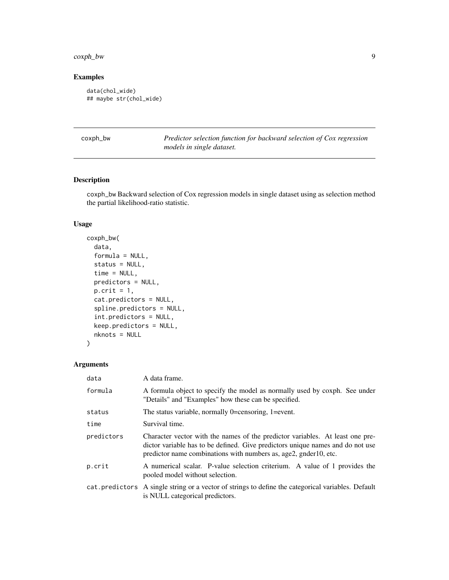# <span id="page-8-0"></span>coxph\_bw 9

# Examples

```
data(chol_wide)
## maybe str(chol_wide)
```

| coxph_bw |  |  |
|----------|--|--|
|----------|--|--|

Predictor selection function for backward selection of Cox regression *models in single dataset.*

# Description

coxph\_bw Backward selection of Cox regression models in single dataset using as selection method the partial likelihood-ratio statistic.

# Usage

```
coxph_bw(
  data,
  formula = NULL,
  status = NULL,
  time = NULL,
  predictors = NULL,
 p.crit = 1,
  cat.predictors = NULL,
  spline.predictors = NULL,
  int.predictors = NULL,
  keep.predictors = NULL,
  nknots = NULL
\mathcal{E}
```
# Arguments

| data       | A data frame.                                                                                                                                                                                                                       |
|------------|-------------------------------------------------------------------------------------------------------------------------------------------------------------------------------------------------------------------------------------|
| formula    | A formula object to specify the model as normally used by coxph. See under<br>"Details" and "Examples" how these can be specified.                                                                                                  |
| status     | The status variable, normally 0=censoring, 1=event.                                                                                                                                                                                 |
| time       | Survival time.                                                                                                                                                                                                                      |
| predictors | Character vector with the names of the predictor variables. At least one pre-<br>dictor variable has to be defined. Give predictors unique names and do not use<br>predictor name combinations with numbers as, age2, gnder10, etc. |
| p.crit     | A numerical scalar. P-value selection criterium. A value of 1 provides the<br>pooled model without selection.                                                                                                                       |
|            | cat. predictors A single string or a vector of strings to define the categorical variables. Default<br>is NULL categorical predictors.                                                                                              |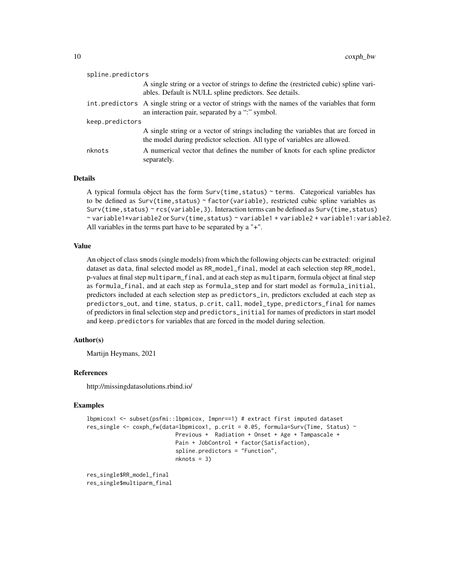| spline.predictors |                                                                                                                                                               |  |
|-------------------|---------------------------------------------------------------------------------------------------------------------------------------------------------------|--|
|                   | A single string or a vector of strings to define the (restricted cubic) spline vari-<br>ables. Default is NULL spline predictors. See details.                |  |
|                   | int. predictors A single string or a vector of strings with the names of the variables that form<br>an interaction pair, separated by a ":" symbol.           |  |
| keep.predictors   |                                                                                                                                                               |  |
|                   | A single string or a vector of strings including the variables that are forced in<br>the model during predictor selection. All type of variables are allowed. |  |
| nknots            | A numerical vector that defines the number of knots for each spline predictor<br>separately.                                                                  |  |

#### Details

A typical formula object has the form  $Surv(time, status)$   $\sim$  terms. Categorical variables has to be defined as Surv(time, status) ~ factor(variable), restricted cubic spline variables as Surv(time, status) ~ rcs(variable, 3). Interaction terms can be defined as Surv(time, status) ~ variable1\*variable2 or Surv(time,status) ~ variable1 + variable2 + variable1:variable2. All variables in the terms part have to be separated by a "+".

# Value

An object of class smods (single models) from which the following objects can be extracted: original dataset as data, final selected model as RR\_model\_final, model at each selection step RR\_model, p-values at final step multiparm\_final, and at each step as multiparm, formula object at final step as formula\_final, and at each step as formula\_step and for start model as formula\_initial, predictors included at each selection step as predictors\_in, predictors excluded at each step as predictors\_out, and time, status, p.crit, call, model\_type, predictors\_final for names of predictors in final selection step and predictors\_initial for names of predictors in start model and keep.predictors for variables that are forced in the model during selection.

#### Author(s)

Martijn Heymans, 2021

#### References

http://missingdatasolutions.rbind.io/

#### Examples

```
lbpmicox1 <- subset(psfmi::lbpmicox, Impnr==1) # extract first imputed dataset
res_single <- coxph_fw(data=lbpmicox1, p.crit = 0.05, formula=Surv(Time, Status) ~
                           Previous + Radiation + Onset + Age + Tampascale +
                           Pain + JobControl + factor(Satisfaction),
                           spline.predictors = "Function",
                           nknots = 3)
```
res\_single\$RR\_model\_final res\_single\$multiparm\_final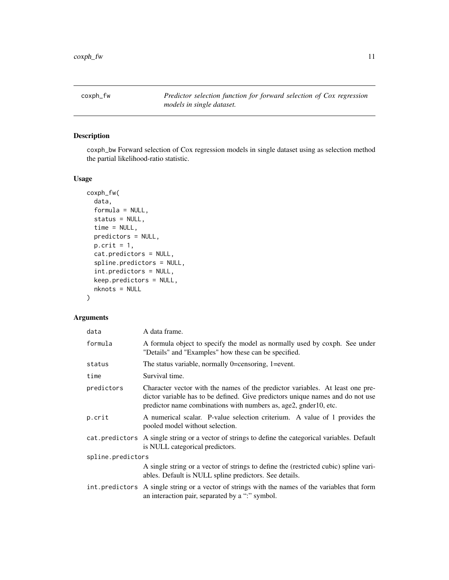<span id="page-10-0"></span>coxph\_fw *Predictor selection function for forward selection of Cox regression models in single dataset.*

# Description

coxph\_bw Forward selection of Cox regression models in single dataset using as selection method the partial likelihood-ratio statistic.

#### Usage

```
coxph_fw(
  data,
  formula = NULL,
  status = NULL,
  time = NULL,
  predictors = NULL,
  p.crit = 1,
  cat.predictors = NULL,
  spline.predictors = NULL,
  int.predictors = NULL,
  keep.predictors = NULL,
  nknots = NULL
\mathcal{E}
```
# Arguments

| data              | A data frame.                                                                                                                                                                                                                       |  |
|-------------------|-------------------------------------------------------------------------------------------------------------------------------------------------------------------------------------------------------------------------------------|--|
| formula           | A formula object to specify the model as normally used by coxph. See under<br>"Details" and "Examples" how these can be specified.                                                                                                  |  |
| status            | The status variable, normally 0=censoring, 1=event.                                                                                                                                                                                 |  |
| time              | Survival time.                                                                                                                                                                                                                      |  |
| predictors        | Character vector with the names of the predictor variables. At least one pre-<br>dictor variable has to be defined. Give predictors unique names and do not use<br>predictor name combinations with numbers as, age2, gnder10, etc. |  |
| p.crit            | A numerical scalar. P-value selection criterium. A value of 1 provides the<br>pooled model without selection.                                                                                                                       |  |
|                   | cat. predictors A single string or a vector of strings to define the categorical variables. Default<br>is NULL categorical predictors.                                                                                              |  |
| spline.predictors |                                                                                                                                                                                                                                     |  |
|                   | A single string or a vector of strings to define the (restricted cubic) spline vari-<br>ables. Default is NULL spline predictors. See details.                                                                                      |  |
|                   | int. predictors A single string or a vector of strings with the names of the variables that form<br>an interaction pair, separated by a ":" symbol.                                                                                 |  |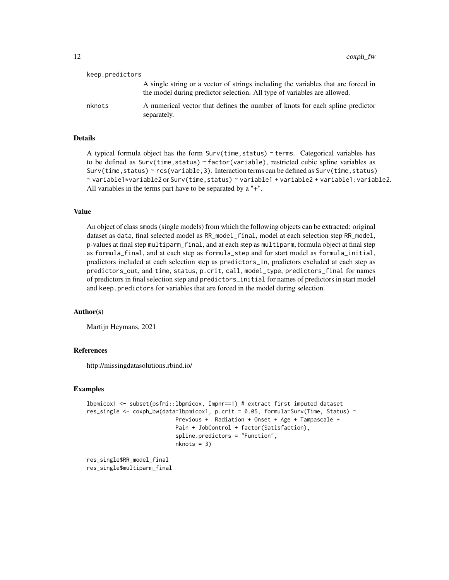| keep.predictors |                                                                                                                                                               |
|-----------------|---------------------------------------------------------------------------------------------------------------------------------------------------------------|
|                 | A single string or a vector of strings including the variables that are forced in<br>the model during predictor selection. All type of variables are allowed. |
| nknots          | A numerical vector that defines the number of knots for each spline predictor<br>separately.                                                                  |

# Details

A typical formula object has the form Surv(time,status) ~ terms. Categorical variables has to be defined as  $Surv(time, status) \sim factor(variable)$ , restricted cubic spline variables as Surv(time, status) ~ rcs(variable, 3). Interaction terms can be defined as Surv(time, status) ~ variable1\*variable2 or Surv(time,status) ~ variable1 + variable2 + variable1:variable2. All variables in the terms part have to be separated by a "+".

#### Value

An object of class smods (single models) from which the following objects can be extracted: original dataset as data, final selected model as RR\_model\_final, model at each selection step RR\_model, p-values at final step multiparm\_final, and at each step as multiparm, formula object at final step as formula\_final, and at each step as formula\_step and for start model as formula\_initial, predictors included at each selection step as predictors\_in, predictors excluded at each step as predictors\_out, and time, status, p.crit, call, model\_type, predictors\_final for names of predictors in final selection step and predictors\_initial for names of predictors in start model and keep.predictors for variables that are forced in the model during selection.

#### Author(s)

Martijn Heymans, 2021

# References

http://missingdatasolutions.rbind.io/

#### Examples

```
lbpmicox1 <- subset(psfmi::lbpmicox, Impnr==1) # extract first imputed dataset
res_single <- coxph_bw(data=lbpmicox1, p.crit = 0.05, formula=Surv(Time, Status) ~
                           Previous + Radiation + Onset + Age + Tampascale +
                           Pain + JobControl + factor(Satisfaction),
                           spline.predictors = "Function",
                          nknots = 3)
```
res\_single\$RR\_model\_final res\_single\$multiparm\_final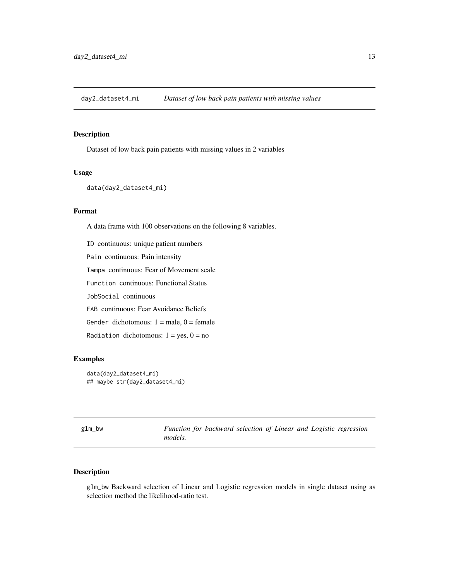<span id="page-12-0"></span>day2\_dataset4\_mi *Dataset of low back pain patients with missing values*

# Description

Dataset of low back pain patients with missing values in 2 variables

# Usage

```
data(day2_dataset4_mi)
```
# Format

A data frame with 100 observations on the following 8 variables.

ID continuous: unique patient numbers Pain continuous: Pain intensity Tampa continuous: Fear of Movement scale Function continuous: Functional Status JobSocial continuous FAB continuous: Fear Avoidance Beliefs Gender dichotomous:  $1 =$  male,  $0 =$  female Radiation dichotomous:  $1 = yes$ ,  $0 = no$ 

# Examples

```
data(day2_dataset4_mi)
## maybe str(day2_dataset4_mi)
```
glm\_bw *Function for backward selection of Linear and Logistic regression models.*

# Description

glm\_bw Backward selection of Linear and Logistic regression models in single dataset using as selection method the likelihood-ratio test.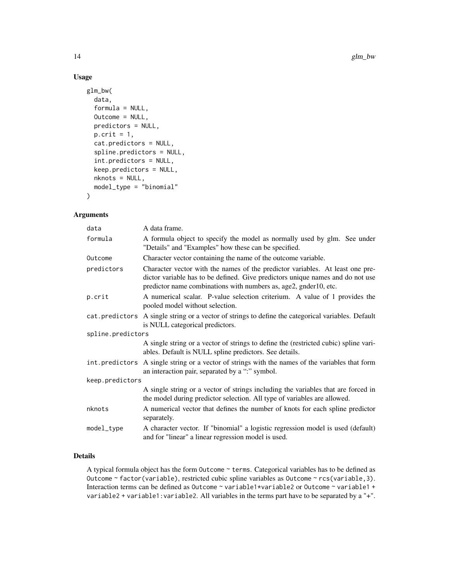# Usage

```
glm_bw(
 data,
  formula = NULL,
 Outcome = NULL,
 predictors = NULL,
 p.crit = 1,
  cat.predictors = NULL,
  spline.predictors = NULL,
  int.predictors = NULL,
  keep.predictors = NULL,
  nknots = NULL,
  model_type = "binomial"
\mathcal{L}
```
# Arguments

| data              | A data frame.                                                                                                                                                                                                                       |  |  |  |  |
|-------------------|-------------------------------------------------------------------------------------------------------------------------------------------------------------------------------------------------------------------------------------|--|--|--|--|
| formula           | A formula object to specify the model as normally used by glm. See under<br>"Details" and "Examples" how these can be specified.                                                                                                    |  |  |  |  |
| Outcome           | Character vector containing the name of the outcome variable.                                                                                                                                                                       |  |  |  |  |
| predictors        | Character vector with the names of the predictor variables. At least one pre-<br>dictor variable has to be defined. Give predictors unique names and do not use<br>predictor name combinations with numbers as, age2, gnder10, etc. |  |  |  |  |
| p.crit            | A numerical scalar. P-value selection criterium. A value of 1 provides the<br>pooled model without selection.                                                                                                                       |  |  |  |  |
|                   | cat. predictors A single string or a vector of strings to define the categorical variables. Default<br>is NULL categorical predictors.                                                                                              |  |  |  |  |
| spline.predictors |                                                                                                                                                                                                                                     |  |  |  |  |
|                   | A single string or a vector of strings to define the (restricted cubic) spline vari-<br>ables. Default is NULL spline predictors. See details.                                                                                      |  |  |  |  |
|                   | int. predictors A single string or a vector of strings with the names of the variables that form<br>an interaction pair, separated by a ":" symbol.                                                                                 |  |  |  |  |
| keep.predictors   |                                                                                                                                                                                                                                     |  |  |  |  |
|                   | A single string or a vector of strings including the variables that are forced in<br>the model during predictor selection. All type of variables are allowed.                                                                       |  |  |  |  |
| nknots            | A numerical vector that defines the number of knots for each spline predictor<br>separately.                                                                                                                                        |  |  |  |  |
| model_type        | A character vector. If "binomial" a logistic regression model is used (default)<br>and for "linear" a linear regression model is used.                                                                                              |  |  |  |  |

# Details

A typical formula object has the form Outcome ~ terms. Categorical variables has to be defined as Outcome ~ factor(variable), restricted cubic spline variables as Outcome ~ rcs(variable, 3). Interaction terms can be defined as Outcome ~ variable1\*variable2 or Outcome ~ variable1 + variable2 + variable1:variable2. All variables in the terms part have to be separated by a "+".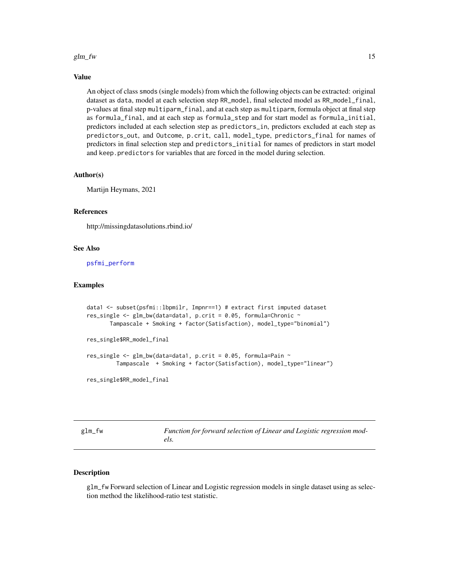#### <span id="page-14-0"></span>glm\_fw  $15$

#### Value

An object of class smods (single models) from which the following objects can be extracted: original dataset as data, model at each selection step RR\_model, final selected model as RR\_model\_final, p-values at final step multiparm\_final, and at each step as multiparm, formula object at final step as formula\_final, and at each step as formula\_step and for start model as formula\_initial, predictors included at each selection step as predictors\_in, predictors excluded at each step as predictors\_out, and Outcome, p.crit, call, model\_type, predictors\_final for names of predictors in final selection step and predictors\_initial for names of predictors in start model and keep.predictors for variables that are forced in the model during selection.

#### Author(s)

Martijn Heymans, 2021

# References

http://missingdatasolutions.rbind.io/

#### See Also

[psfmi\\_perform](#page-52-1)

#### Examples

```
data1 <- subset(psfmi::lbpmilr, Impnr==1) # extract first imputed dataset
res_single <- glm_bw(data=data1, p.crit = 0.05, formula=Chronic ~Tampascale + Smoking + factor(Satisfaction), model_type="binomial")
res_single$RR_model_final
res_single \leq glm_bw(data=data1, p.crit = 0.05, formula=Pain \simTampascale + Smoking + factor(Satisfaction), model_type="linear")
res_single$RR_model_final
```
glm\_fw *Function for forward selection of Linear and Logistic regression models.*

#### Description

glm\_fw Forward selection of Linear and Logistic regression models in single dataset using as selection method the likelihood-ratio test statistic.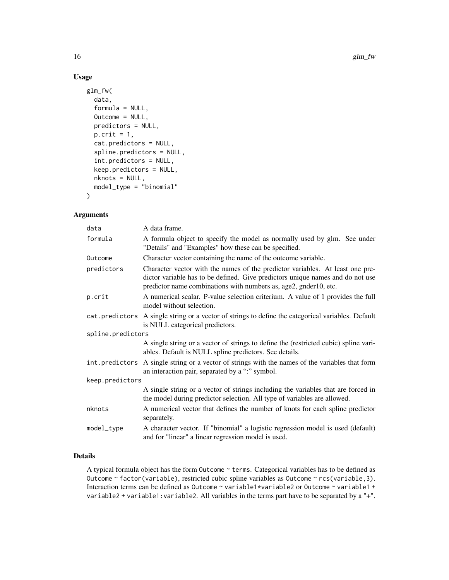# Usage

```
glm_fw(
 data,
  formula = NULL,
 Outcome = NULL,
 predictors = NULL,
 p.crit = 1,
  cat.predictors = NULL,
  spline.predictors = NULL,
  int.predictors = NULL,
  keep.predictors = NULL,
  nknots = NULL,
  model_type = "binomial"
\mathcal{L}
```
# Arguments

| data              | A data frame.                                                                                                                                                                                                                       |  |  |  |  |
|-------------------|-------------------------------------------------------------------------------------------------------------------------------------------------------------------------------------------------------------------------------------|--|--|--|--|
| formula           | A formula object to specify the model as normally used by glm. See under<br>"Details" and "Examples" how these can be specified.                                                                                                    |  |  |  |  |
| Outcome           | Character vector containing the name of the outcome variable.                                                                                                                                                                       |  |  |  |  |
| predictors        | Character vector with the names of the predictor variables. At least one pre-<br>dictor variable has to be defined. Give predictors unique names and do not use<br>predictor name combinations with numbers as, age2, gnder10, etc. |  |  |  |  |
| p.crit            | A numerical scalar. P-value selection criterium. A value of 1 provides the full<br>model without selection.                                                                                                                         |  |  |  |  |
|                   | cat. predictors A single string or a vector of strings to define the categorical variables. Default<br>is NULL categorical predictors.                                                                                              |  |  |  |  |
| spline.predictors |                                                                                                                                                                                                                                     |  |  |  |  |
|                   | A single string or a vector of strings to define the (restricted cubic) spline vari-<br>ables. Default is NULL spline predictors. See details.                                                                                      |  |  |  |  |
| int.predictors    | A single string or a vector of strings with the names of the variables that form<br>an interaction pair, separated by a ":" symbol.                                                                                                 |  |  |  |  |
| keep.predictors   |                                                                                                                                                                                                                                     |  |  |  |  |
|                   | A single string or a vector of strings including the variables that are forced in<br>the model during predictor selection. All type of variables are allowed.                                                                       |  |  |  |  |
| nknots            | A numerical vector that defines the number of knots for each spline predictor<br>separately.                                                                                                                                        |  |  |  |  |
| model_type        | A character vector. If "binomial" a logistic regression model is used (default)<br>and for "linear" a linear regression model is used.                                                                                              |  |  |  |  |

# Details

A typical formula object has the form Outcome ~ terms. Categorical variables has to be defined as Outcome ~ factor(variable), restricted cubic spline variables as Outcome ~ rcs(variable, 3). Interaction terms can be defined as Outcome ~ variable1\*variable2 or Outcome ~ variable1 + variable2 + variable1:variable2. All variables in the terms part have to be separated by a "+".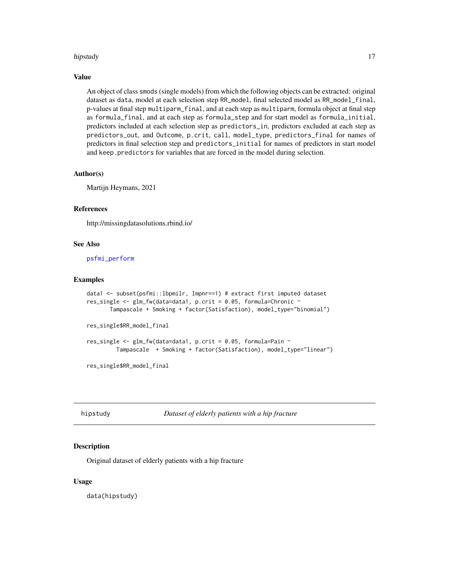#### <span id="page-16-0"></span>hipstudy and the contract of the contract of the contract of the contract of the contract of the contract of the contract of the contract of the contract of the contract of the contract of the contract of the contract of t

#### Value

An object of class smods (single models) from which the following objects can be extracted: original dataset as data, model at each selection step RR\_model, final selected model as RR\_model\_final, p-values at final step multiparm\_final, and at each step as multiparm, formula object at final step as formula\_final, and at each step as formula\_step and for start model as formula\_initial, predictors included at each selection step as predictors\_in, predictors excluded at each step as predictors\_out, and Outcome, p.crit, call, model\_type, predictors\_final for names of predictors in final selection step and predictors\_initial for names of predictors in start model and keep.predictors for variables that are forced in the model during selection.

#### Author(s)

Martijn Heymans, 2021

# References

http://missingdatasolutions.rbind.io/

#### See Also

[psfmi\\_perform](#page-52-1)

#### Examples

```
data1 <- subset(psfmi::lbpmilr, Impnr==1) # extract first imputed dataset
res_single <- glm_fw(data=data1, p.crit = 0.05, formula=Chronic ~Tampascale + Smoking + factor(Satisfaction), model_type="binomial")
res_single$RR_model_final
res_single <- glm_fw(data=data1, p.crit = 0.05, formula=Pair ~Tampascale + Smoking + factor(Satisfaction), model_type="linear")
res_single$RR_model_final
```
hipstudy *Dataset of elderly patients with a hip fracture*

#### Description

Original dataset of elderly patients with a hip fracture

#### Usage

data(hipstudy)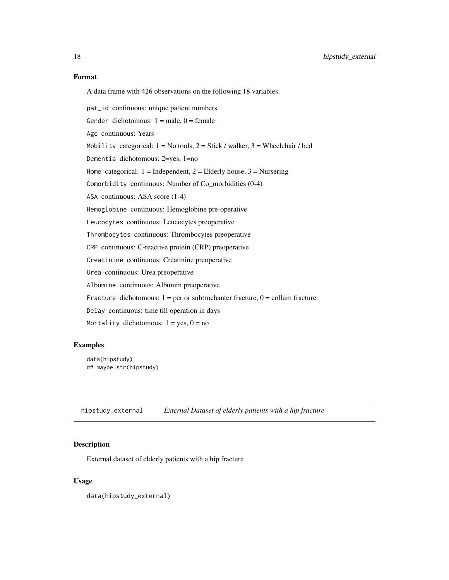<span id="page-17-0"></span>A data frame with 426 observations on the following 18 variables.

pat\_id continuous: unique patient numbers

Gender dichotomous:  $1 = male$ ,  $0 = female$ 

Age continuous: Years

Mobility categorical:  $1 = No$  tools,  $2 = Stick / walker$ ,  $3 = Wheeler / bed$ 

Dementia dichotomous: 2=yes, 1=no

Home categorical:  $1 =$ Independent,  $2 =$ Elderly house,  $3 =$ Nursering

Comorbidity continuous: Number of Co\_morbidities (0-4)

ASA continuous: ASA score (1-4)

Hemoglobine continuous: Hemoglobine pre-operative

Leucocytes continuous: Leucocytes preoperative

Thrombocytes continuous: Thrombocytes preoperative

CRP continuous: C-reactive protein (CRP) preoperative

Creatinine continuous: Creatinine preoperative

Urea continuous: Urea preoperative

Albumine continuous: Albumin preoperative

Fracture dichotomous:  $1 = per$  or subtrochanter fracture,  $0 =$  collum fracture

Delay continuous: time till operation in days

Mortality dichotomous:  $1 = yes$ ,  $0 = no$ 

#### Examples

data(hipstudy) ## maybe str(hipstudy)

hipstudy\_external *External Dataset of elderly patients with a hip fracture*

#### Description

External dataset of elderly patients with a hip fracture

#### Usage

data(hipstudy\_external)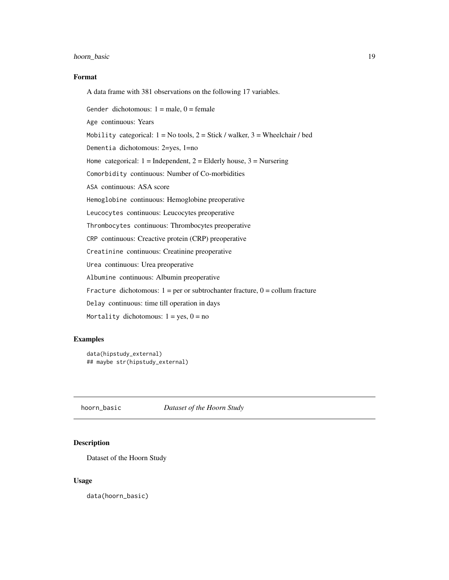# <span id="page-18-0"></span>hoorn\_basic 19

# Format

A data frame with 381 observations on the following 17 variables.

Gender dichotomous:  $1 = male$ ,  $0 = female$ 

Age continuous: Years

Mobility categorical:  $1 = No$  tools,  $2 = Stick / walker$ ,  $3 = Wheeler / bed$ 

Dementia dichotomous: 2=yes, 1=no

Home categorical:  $1 =$  Independent,  $2 =$  Elderly house,  $3 =$  Nursering

Comorbidity continuous: Number of Co-morbidities

ASA continuous: ASA score

Hemoglobine continuous: Hemoglobine preoperative

Leucocytes continuous: Leucocytes preoperative

Thrombocytes continuous: Thrombocytes preoperative

CRP continuous: Creactive protein (CRP) preoperative

Creatinine continuous: Creatinine preoperative

Urea continuous: Urea preoperative

Albumine continuous: Albumin preoperative

Fracture dichotomous:  $1 = per$  or subtrochanter fracture,  $0 =$  collum fracture

Delay continuous: time till operation in days

Mortality dichotomous:  $1 = yes$ ,  $0 = no$ 

# Examples

```
data(hipstudy_external)
## maybe str(hipstudy_external)
```
hoorn\_basic *Dataset of the Hoorn Study*

# Description

Dataset of the Hoorn Study

#### Usage

data(hoorn\_basic)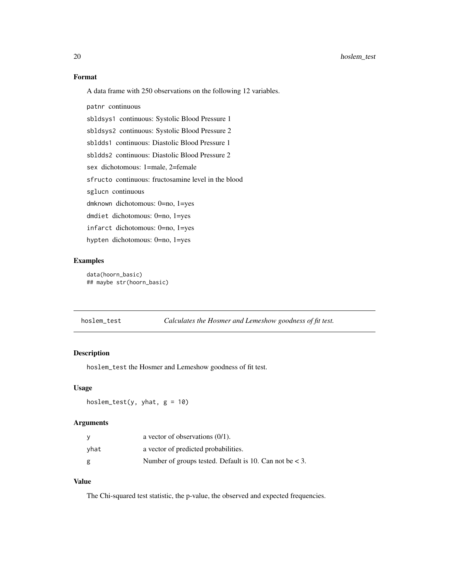# <span id="page-19-0"></span>Format

A data frame with 250 observations on the following 12 variables.

patnr continuous

sbldsys1 continuous: Systolic Blood Pressure 1

sbldsys2 continuous: Systolic Blood Pressure 2

sbldds1 continuous: Diastolic Blood Pressure 1

sbldds2 continuous: Diastolic Blood Pressure 2

sex dichotomous: 1=male, 2=female

sfructo continuous: fructosamine level in the blood

sglucn continuous

dmknown dichotomous: 0=no, 1=yes

dmdiet dichotomous: 0=no, 1=yes

infarct dichotomous: 0=no, 1=yes

hypten dichotomous: 0=no, 1=yes

#### Examples

data(hoorn\_basic) ## maybe str(hoorn\_basic)

hoslem\_test *Calculates the Hosmer and Lemeshow goodness of fit test.*

#### Description

hoslem\_test the Hosmer and Lemeshow goodness of fit test.

#### Usage

hoslem\_test(y, yhat,  $g = 10$ )

# Arguments

|      | a vector of observations $(0/1)$ .                        |
|------|-----------------------------------------------------------|
| vhat | a vector of predicted probabilities.                      |
| g    | Number of groups tested. Default is 10. Can not be $<$ 3. |

#### Value

The Chi-squared test statistic, the p-value, the observed and expected frequencies.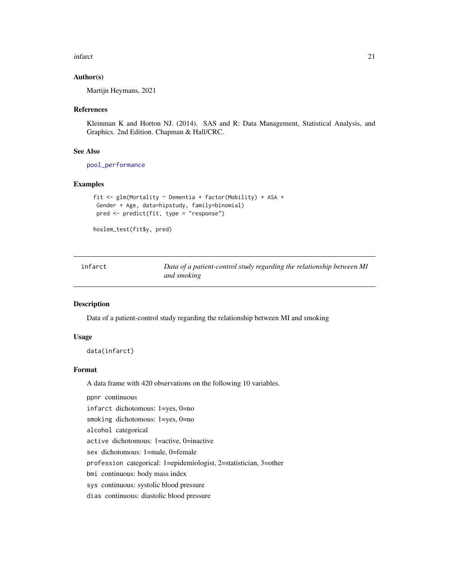#### <span id="page-20-0"></span>infarct 21

#### Author(s)

Martijn Heymans, 2021

#### References

Kleinman K and Horton NJ. (2014). SAS and R: Data Management, Statistical Analysis, and Graphics. 2nd Edition. Chapman & Hall/CRC.

#### See Also

[pool\\_performance](#page-36-1)

## Examples

```
fit <- glm(Mortality ~ Dementia + factor(Mobility) + ASA +
 Gender + Age, data=hipstudy, family=binomial)
 pred <- predict(fit, type = "response")
```

```
hoslem_test(fit$y, pred)
```

| infarct | Data of a patient-control study regarding the relationship between MI |
|---------|-----------------------------------------------------------------------|
|         | and smoking                                                           |

#### Description

Data of a patient-control study regarding the relationship between MI and smoking

#### Usage

data(infarct)

# Format

A data frame with 420 observations on the following 10 variables.

ppnr continuous

infarct dichotomous: 1=yes, 0=no

smoking dichotomous: 1=yes, 0=no

alcohol categorical

active dichotomous: 1=active, 0=inactive

sex dichotomous: 1=male, 0=female

profession categorical: 1=epidemiologist, 2=statistician, 3=other

bmi continuous: body mass index

sys continuous: systolic blood pressure

dias continuous: diastolic blood pressure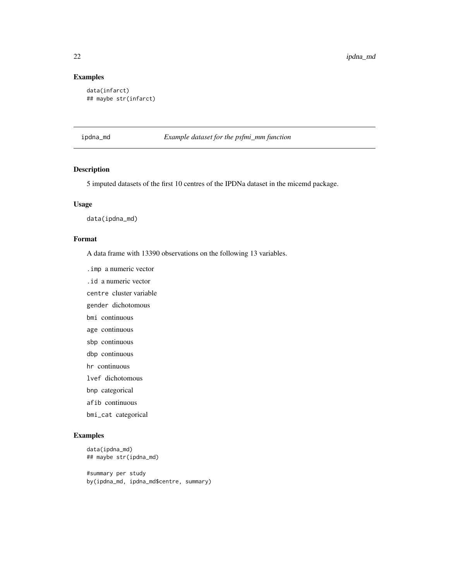# Examples

```
data(infarct)
## maybe str(infarct)
```
ipdna\_md *Example dataset for the psfmi\_mm function*

# Description

5 imputed datasets of the first 10 centres of the IPDNa dataset in the micemd package.

#### Usage

data(ipdna\_md)

#### Format

A data frame with 13390 observations on the following 13 variables.

.imp a numeric vector

.id a numeric vector

centre cluster variable

gender dichotomous

bmi continuous

age continuous

sbp continuous

dbp continuous

hr continuous

lvef dichotomous

bnp categorical

afib continuous

bmi\_cat categorical

```
data(ipdna_md)
## maybe str(ipdna_md)
#summary per study
by(ipdna_md, ipdna_md$centre, summary)
```
<span id="page-21-0"></span>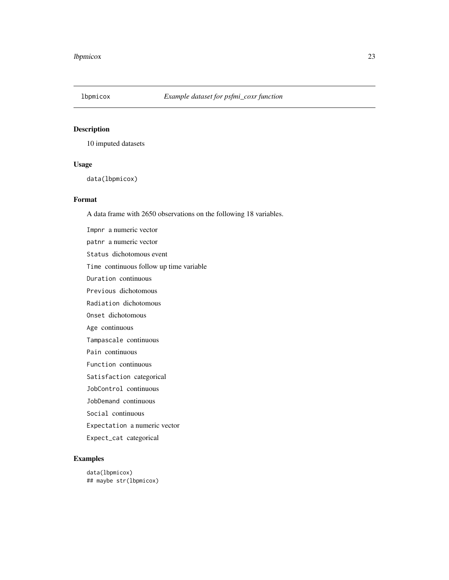<span id="page-22-0"></span>

10 imputed datasets

# Usage

data(lbpmicox)

# Format

A data frame with 2650 observations on the following 18 variables.

Impnr a numeric vector patnr a numeric vector Status dichotomous event Time continuous follow up time variable Duration continuous Previous dichotomous Radiation dichotomous Onset dichotomous Age continuous Tampascale continuous Pain continuous Function continuous Satisfaction categorical JobControl continuous JobDemand continuous Social continuous Expectation a numeric vector

Expect\_cat categorical

# Examples

data(lbpmicox) ## maybe str(lbpmicox)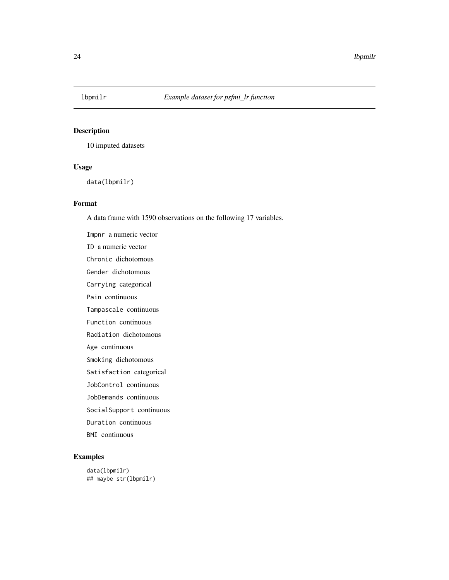<span id="page-23-0"></span>

10 imputed datasets

# Usage

data(lbpmilr)

# Format

A data frame with 1590 observations on the following 17 variables.

Impnr a numeric vector ID a numeric vector Chronic dichotomous Gender dichotomous Carrying categorical Pain continuous Tampascale continuous Function continuous Radiation dichotomous Age continuous Smoking dichotomous Satisfaction categorical JobControl continuous JobDemands continuous SocialSupport continuous Duration continuous BMI continuous

# Examples

data(lbpmilr) ## maybe str(lbpmilr)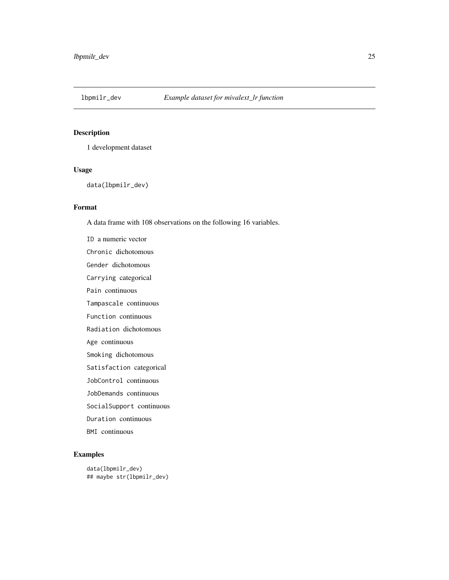<span id="page-24-0"></span>

1 development dataset

### Usage

data(lbpmilr\_dev)

# Format

A data frame with 108 observations on the following 16 variables.

ID a numeric vector Chronic dichotomous Gender dichotomous Carrying categorical Pain continuous Tampascale continuous Function continuous Radiation dichotomous Age continuous Smoking dichotomous Satisfaction categorical JobControl continuous JobDemands continuous SocialSupport continuous Duration continuous BMI continuous

```
data(lbpmilr_dev)
## maybe str(lbpmilr_dev)
```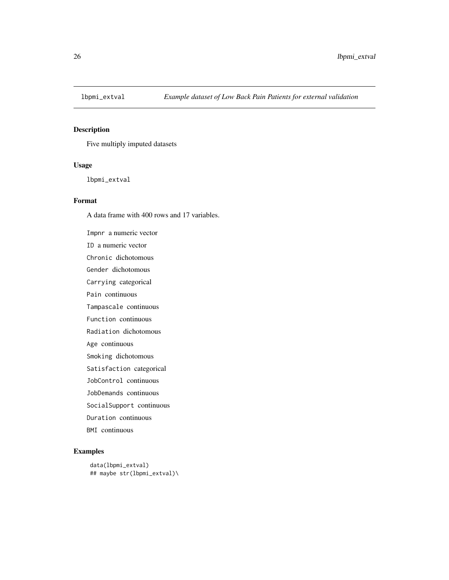<span id="page-25-0"></span>

Five multiply imputed datasets

# Usage

lbpmi\_extval

#### Format

A data frame with 400 rows and 17 variables.

Impnr a numeric vector ID a numeric vector Chronic dichotomous Gender dichotomous Carrying categorical Pain continuous Tampascale continuous Function continuous Radiation dichotomous Age continuous Smoking dichotomous Satisfaction categorical JobControl continuous JobDemands continuous SocialSupport continuous Duration continuous BMI continuous

```
data(lbpmi_extval)
## maybe str(lbpmi_extval)\
```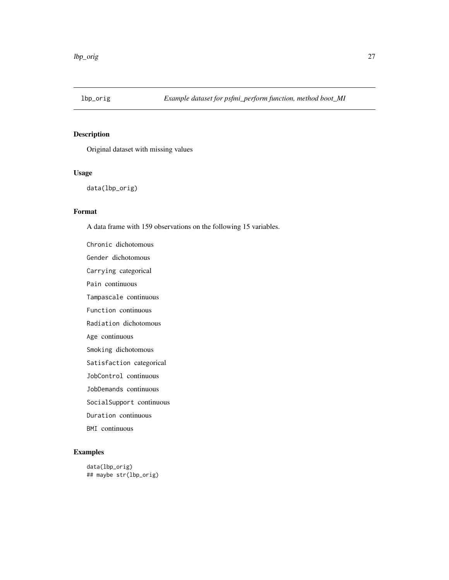<span id="page-26-0"></span>

Original dataset with missing values

# Usage

data(lbp\_orig)

# Format

A data frame with 159 observations on the following 15 variables.

Chronic dichotomous Gender dichotomous Carrying categorical Pain continuous Tampascale continuous Function continuous Radiation dichotomous Age continuous Smoking dichotomous Satisfaction categorical JobControl continuous JobDemands continuous SocialSupport continuous Duration continuous BMI continuous

```
data(lbp_orig)
## maybe str(lbp_orig)
```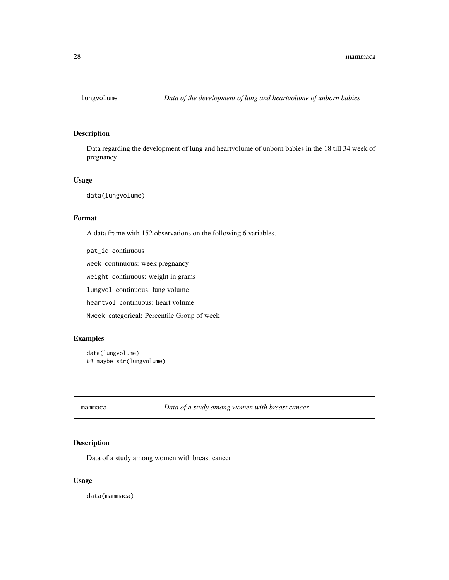<span id="page-27-0"></span>

Data regarding the development of lung and heartvolume of unborn babies in the 18 till 34 week of pregnancy

#### Usage

data(lungvolume)

#### Format

A data frame with 152 observations on the following 6 variables.

pat\_id continuous week continuous: week pregnancy weight continuous: weight in grams lungvol continuous: lung volume heartvol continuous: heart volume Nweek categorical: Percentile Group of week

# Examples

```
data(lungvolume)
## maybe str(lungvolume)
```
mammaca *Data of a study among women with breast cancer*

# Description

Data of a study among women with breast cancer

# Usage

data(mammaca)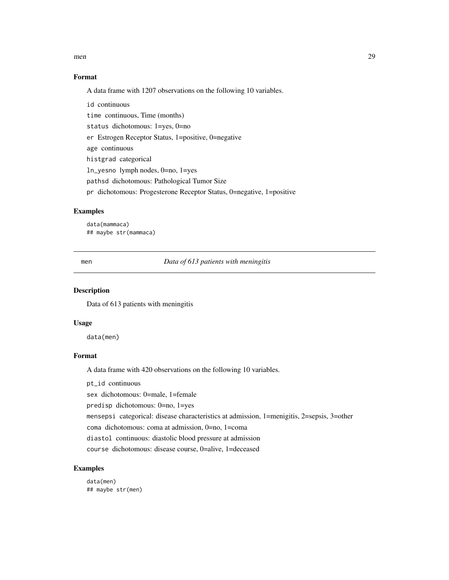#### <span id="page-28-0"></span>men  $29$

# Format

A data frame with 1207 observations on the following 10 variables.

id continuous time continuous, Time (months) status dichotomous: 1=yes, 0=no er Estrogen Receptor Status, 1=positive, 0=negative age continuous histgrad categorical ln\_yesno lymph nodes, 0=no, 1=yes pathsd dichotomous: Pathological Tumor Size pr dichotomous: Progesterone Receptor Status, 0=negative, 1=positive

# Examples

data(mammaca) ## maybe str(mammaca)

men *Data of 613 patients with meningitis*

#### Description

Data of 613 patients with meningitis

#### Usage

data(men)

#### Format

A data frame with 420 observations on the following 10 variables.

pt\_id continuous

sex dichotomous: 0=male, 1=female

predisp dichotomous: 0=no, 1=yes

mensepsi categorical: disease characteristics at admission, 1=menigitis, 2=sepsis, 3=other

coma dichotomous: coma at admission, 0=no, 1=coma

diastol continuous: diastolic blood pressure at admission

course dichotomous: disease course, 0=alive, 1=deceased

# Examples

data(men) ## maybe str(men)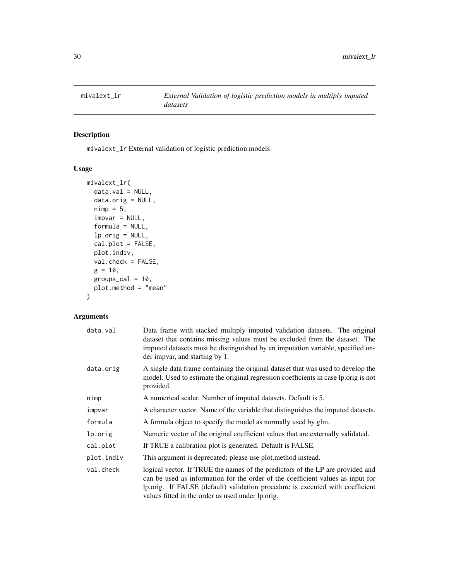<span id="page-29-0"></span>

mivalext\_lr External validation of logistic prediction models

# Usage

```
mivalext_lr(
 data.val = NULL,data.orig = NULL,
 nimp = 5,impvar = NULL,
  formula = NULL,
  lp.orig = NULL,
  cal.plot = FALSE,
 plot.indiv,
 val.check = FALSE,
  g = 10,
 groups_cal = 10,
 plot.method = "mean"
)
```
# Arguments

| data.val   | Data frame with stacked multiply imputed validation datasets. The original<br>dataset that contains missing values must be excluded from the dataset. The<br>imputed datasets must be distinguished by an imputation variable, specified un-<br>der impvar, and starting by 1.                          |  |  |  |
|------------|---------------------------------------------------------------------------------------------------------------------------------------------------------------------------------------------------------------------------------------------------------------------------------------------------------|--|--|--|
| data.orig  | A single data frame containing the original dataset that was used to develop the<br>model. Used to estimate the original regression coefficients in case lp.orig is not<br>provided.                                                                                                                    |  |  |  |
| nimp       | A numerical scalar. Number of imputed datasets. Default is 5.                                                                                                                                                                                                                                           |  |  |  |
| impvar     | A character vector. Name of the variable that distinguishes the imputed datasets.                                                                                                                                                                                                                       |  |  |  |
| formula    | A formula object to specify the model as normally used by glm.                                                                                                                                                                                                                                          |  |  |  |
| lp.orig    | Numeric vector of the original coefficient values that are externally validated.                                                                                                                                                                                                                        |  |  |  |
| cal.plot   | If TRUE a calibration plot is generated. Default is FALSE.                                                                                                                                                                                                                                              |  |  |  |
| plot.indiv | This argument is deprecated; please use plot method instead.                                                                                                                                                                                                                                            |  |  |  |
| val.check  | logical vector. If TRUE the names of the predictors of the LP are provided and<br>can be used as information for the order of the coefficient values as input for<br>lp.orig. If FALSE (default) validation procedure is executed with coefficient<br>values fitted in the order as used under lp.orig. |  |  |  |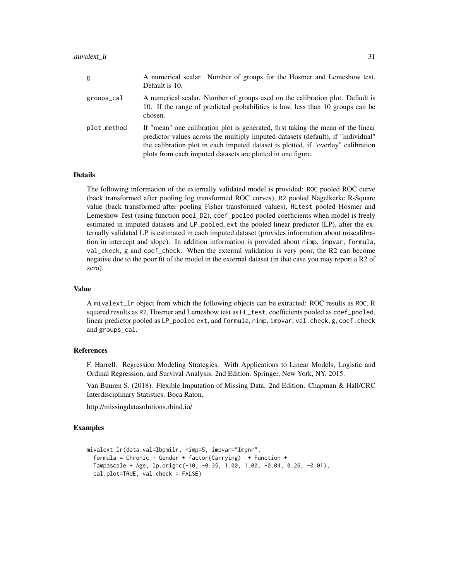#### mivalext\_lr 31

| g           | A numerical scalar. Number of groups for the Hosmer and Lemeshow test.<br>Default is 10.                                                                                                                                                                                                                                 |
|-------------|--------------------------------------------------------------------------------------------------------------------------------------------------------------------------------------------------------------------------------------------------------------------------------------------------------------------------|
| groups_cal  | A numerical scalar. Number of groups used on the calibration plot. Default is<br>10. If the range of predicted probabilities is low, less than 10 groups can be<br>chosen.                                                                                                                                               |
| plot.method | If "mean" one calibration plot is generated, first taking the mean of the linear<br>predictor values across the multiply imputed datasets (default), if "individual"<br>the calibration plot in each imputed dataset is plotted, if "overlay" calibration<br>plots from each imputed datasets are plotted in one figure. |

### **Details**

The following information of the externally validated model is provided: ROC pooled ROC curve (back transformed after pooling log transformed ROC curves), R2 pooled Nagelkerke R-Square value (back transformed after pooling Fisher transformed values), HLtest pooled Hosmer and Lemeshow Test (using function pool\_D2), coef\_pooled pooled coefficients when model is freely estimated in imputed datasets and LP\_pooled\_ext the pooled linear predictor (LP), after the externally validated LP is estimated in each imputed dataset (provides information about miscalibration in intercept and slope). In addition information is provided about nimp, impvar, formula, val\_ckeck, g and coef\_check. When the external validation is very poor, the R2 can become negative due to the poor fit of the model in the external dataset (in that case you may report a R2 of zero).

#### Value

A mivalext\_lr object from which the following objects can be extracted: ROC results as ROC, R squared results as R2, Hosmer and Lemeshow test as HL\_test, coefficients pooled as coef\_pooled, linear predictor pooled as LP\_pooled ext, and formula, nimp, impvar, val.check, g, coef.check and groups\_cal.

#### References

F. Harrell. Regression Modeling Strategies. With Applications to Linear Models, Logistic and Ordinal Regression, and Survival Analysis. 2nd Edition. Springer, New York, NY, 2015.

Van Buuren S. (2018). Flexible Imputation of Missing Data. 2nd Edition. Chapman & Hall/CRC Interdisciplinary Statistics. Boca Raton.

http://missingdatasolutions.rbind.io/

```
mivalext_lr(data.val=lbpmilr, nimp=5, impvar="Impnr",
 formula = Chronic \sim Gender + factor(Carrying) + Function +
 Tampascale + Age, lp.orig=c(-10, -0.35, 1.00, 1.00, -0.04, 0.26, -0.01),
 cal.plot=TRUE, val.check = FALSE)
```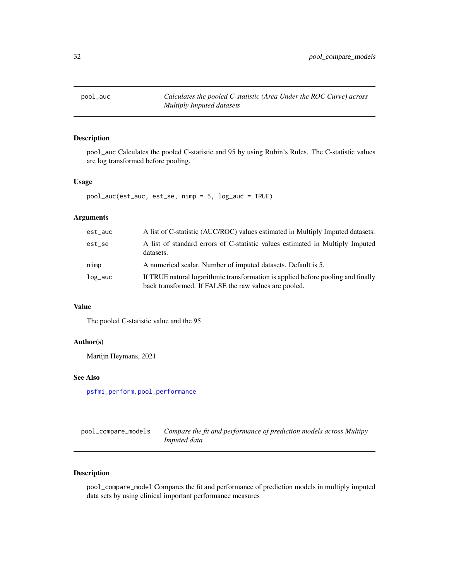<span id="page-31-0"></span>

pool\_auc Calculates the pooled C-statistic and 95 by using Rubin's Rules. The C-statistic values are log transformed before pooling.

#### Usage

```
pool_auc(est_auc, est_se, nimp = 5, log_auc = TRUE)
```
# Arguments

| est_auc | A list of C-statistic (AUC/ROC) values estimated in Multiply Imputed datasets.                                                            |
|---------|-------------------------------------------------------------------------------------------------------------------------------------------|
| est_se  | A list of standard errors of C-statistic values estimated in Multiply Imputed<br>datasets.                                                |
| nimp    | A numerical scalar. Number of imputed datasets. Default is 5.                                                                             |
| log_auc | If TRUE natural logarithmic transformation is applied before pooling and finally<br>back transformed. If FALSE the raw values are pooled. |

# Value

The pooled C-statistic value and the 95

# Author(s)

Martijn Heymans, 2021

#### See Also

[psfmi\\_perform](#page-52-1), [pool\\_performance](#page-36-1)

| pool_compare_models | Compare the fit and performance of prediction models across Multipy |
|---------------------|---------------------------------------------------------------------|
|                     | Imputed data                                                        |

# Description

pool\_compare\_model Compares the fit and performance of prediction models in multiply imputed data sets by using clinical important performance measures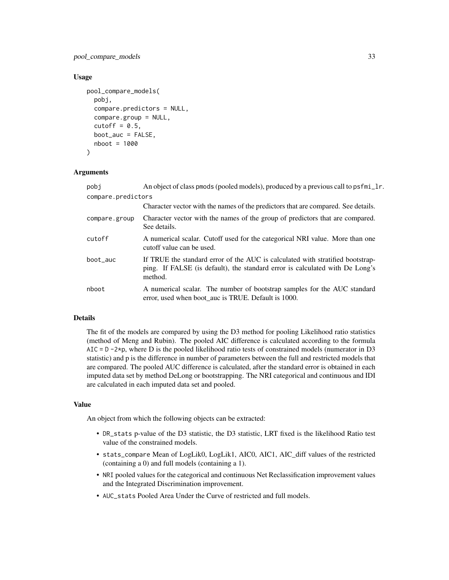# pool\_compare\_models 33

#### Usage

```
pool_compare_models(
  pobj,
  compare.predictors = NULL,
  compare.group = NULL,
  cutoff = 0.5,
  boot_auc = FALSE,
 nboot = 1000)
```
#### Arguments

| pobi               | An object of class pmods (pooled models), produced by a previous call to psfmi_lr.                                                                                        |  |  |  |  |
|--------------------|---------------------------------------------------------------------------------------------------------------------------------------------------------------------------|--|--|--|--|
| compare.predictors |                                                                                                                                                                           |  |  |  |  |
|                    | Character vector with the names of the predictors that are compared. See details.                                                                                         |  |  |  |  |
| compare.group      | Character vector with the names of the group of predictors that are compared.<br>See details.                                                                             |  |  |  |  |
| cutoff             | A numerical scalar. Cutoff used for the categorical NRI value. More than one<br>cutoff value can be used.                                                                 |  |  |  |  |
| boot_auc           | If TRUE the standard error of the AUC is calculated with stratified bootstrap-<br>ping. If FALSE (is default), the standard error is calculated with De Long's<br>method. |  |  |  |  |
| nboot              | A numerical scalar. The number of bootstrap samples for the AUC standard<br>error, used when boot_auc is TRUE. Default is 1000.                                           |  |  |  |  |

# Details

The fit of the models are compared by using the D3 method for pooling Likelihood ratio statistics (method of Meng and Rubin). The pooled AIC difference is calculated according to the formula AIC =  $D - 2+p$ , where D is the pooled likelihood ratio tests of constrained models (numerator in D3 statistic) and p is the difference in number of parameters between the full and restricted models that are compared. The pooled AUC difference is calculated, after the standard error is obtained in each imputed data set by method DeLong or bootstrapping. The NRI categorical and continuous and IDI are calculated in each imputed data set and pooled.

# Value

An object from which the following objects can be extracted:

- DR\_stats p-value of the D3 statistic, the D3 statistic, LRT fixed is the likelihood Ratio test value of the constrained models.
- stats\_compare Mean of LogLik0, LogLik1, AIC0, AIC1, AIC\_diff values of the restricted (containing a 0) and full models (containing a 1).
- NRI pooled values for the categorical and continuous Net Reclassification improvement values and the Integrated Discrimination improvement.
- AUC\_stats Pooled Area Under the Curve of restricted and full models.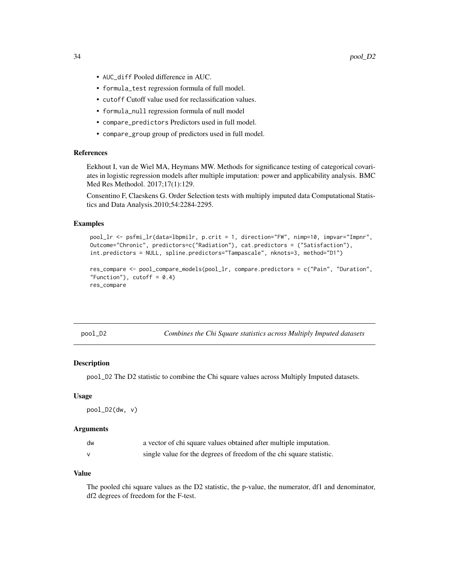- <span id="page-33-0"></span>• AUC\_diff Pooled difference in AUC.
- formula\_test regression formula of full model.
- cutoff Cutoff value used for reclassification values.
- formula\_null regression formula of null model
- compare\_predictors Predictors used in full model.
- compare\_group group of predictors used in full model.

# References

Eekhout I, van de Wiel MA, Heymans MW. Methods for significance testing of categorical covariates in logistic regression models after multiple imputation: power and applicability analysis. BMC Med Res Methodol. 2017;17(1):129.

Consentino F, Claeskens G. Order Selection tests with multiply imputed data Computational Statistics and Data Analysis.2010;54:2284-2295.

#### Examples

```
pool_lr <- psfmi_lr(data=lbpmilr, p.crit = 1, direction="FW", nimp=10, impvar="Impnr",
Outcome="Chronic", predictors=c("Radiation"), cat.predictors = ("Satisfaction"),
int.predictors = NULL, spline.predictors="Tampascale", nknots=3, method="D1")
```

```
res_compare <- pool_compare_models(pool_lr, compare.predictors = c("Pain", "Duration",
"Function"), cutoff = 0.4)
res_compare
```

| noo |  |
|-----|--|
|     |  |
|     |  |

*Combines the Chi Square statistics across Multiply Imputed datasets* 

#### Description

pool\_D2 The D2 statistic to combine the Chi square values across Multiply Imputed datasets.

#### Usage

pool\_D2(dw, v)

#### Arguments

| dw           | a vector of chi square values obtained after multiple imputation.    |
|--------------|----------------------------------------------------------------------|
| $\mathsf{v}$ | single value for the degrees of freedom of the chi square statistic. |

#### Value

The pooled chi square values as the D2 statistic, the p-value, the numerator, df1 and denominator, df2 degrees of freedom for the F-test.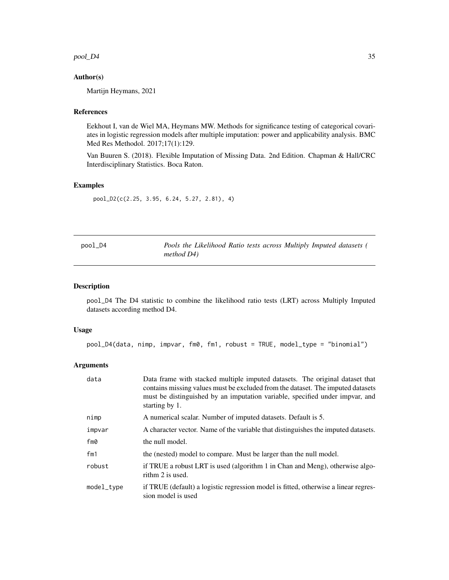<span id="page-34-0"></span> $pool_D4$  35

# Author(s)

Martijn Heymans, 2021

#### References

Eekhout I, van de Wiel MA, Heymans MW. Methods for significance testing of categorical covariates in logistic regression models after multiple imputation: power and applicability analysis. BMC Med Res Methodol. 2017;17(1):129.

Van Buuren S. (2018). Flexible Imputation of Missing Data. 2nd Edition. Chapman & Hall/CRC Interdisciplinary Statistics. Boca Raton.

# Examples

pool\_D2(c(2.25, 3.95, 6.24, 5.27, 2.81), 4)

| pool_D4 | Pools the Likelihood Ratio tests across Multiply Imputed datasets ( |  |  |
|---------|---------------------------------------------------------------------|--|--|
|         | method $D4$ )                                                       |  |  |

#### Description

pool\_D4 The D4 statistic to combine the likelihood ratio tests (LRT) across Multiply Imputed datasets according method D4.

# Usage

pool\_D4(data, nimp, impvar, fm0, fm1, robust = TRUE, model\_type = "binomial")

#### Arguments

| data       | Data frame with stacked multiple imputed datasets. The original dataset that<br>contains missing values must be excluded from the dataset. The imputed datasets<br>must be distinguished by an imputation variable, specified under impvar, and<br>starting by 1. |
|------------|-------------------------------------------------------------------------------------------------------------------------------------------------------------------------------------------------------------------------------------------------------------------|
| nimp       | A numerical scalar. Number of imputed datasets. Default is 5.                                                                                                                                                                                                     |
| impvar     | A character vector. Name of the variable that distinguishes the imputed datasets.                                                                                                                                                                                 |
| fm0        | the null model.                                                                                                                                                                                                                                                   |
| fm1        | the (nested) model to compare. Must be larger than the null model.                                                                                                                                                                                                |
| robust     | if TRUE a robust LRT is used (algorithm 1 in Chan and Meng), otherwise algo-<br>rithm 2 is used.                                                                                                                                                                  |
| model_type | if TRUE (default) a logistic regression model is fitted, otherwise a linear regres-<br>sion model is used                                                                                                                                                         |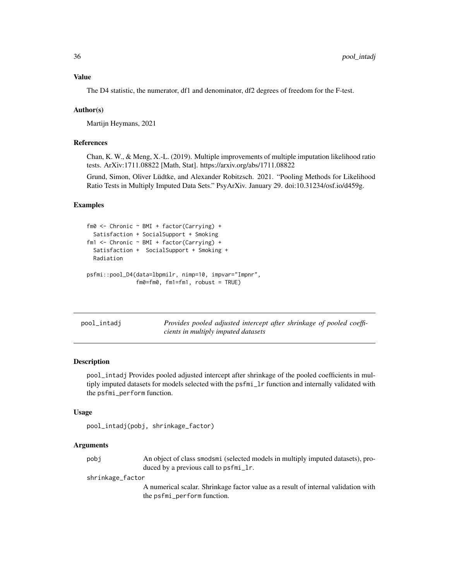#### <span id="page-35-0"></span>Value

The D4 statistic, the numerator, df1 and denominator, df2 degrees of freedom for the F-test.

#### Author(s)

Martijn Heymans, 2021

## References

Chan, K. W., & Meng, X.-L. (2019). Multiple improvements of multiple imputation likelihood ratio tests. ArXiv:1711.08822 [Math, Stat]. https://arxiv.org/abs/1711.08822

Grund, Simon, Oliver Lüdtke, and Alexander Robitzsch. 2021. "Pooling Methods for Likelihood Ratio Tests in Multiply Imputed Data Sets." PsyArXiv. January 29. doi:10.31234/osf.io/d459g.

# Examples

```
fm0 <- Chronic ~ BMI + factor(Carrying) +
 Satisfaction + SocialSupport + Smoking
fm1 <- Chronic ~ BMI + factor(Carrying) +
 Satisfaction + SocialSupport + Smoking +
 Radiation
psfmi::pool_D4(data=lbpmilr, nimp=10, impvar="Impnr",
               fm0=fm0, fm1=fm1, robust = TRUE)
```

| pool_intadi | Provides pooled adjusted intercept after shrinkage of pooled coeffi- |  |  |  |  |
|-------------|----------------------------------------------------------------------|--|--|--|--|
|             | cients in multiply imputed datasets                                  |  |  |  |  |

# Description

pool\_intadj Provides pooled adjusted intercept after shrinkage of the pooled coefficients in multiply imputed datasets for models selected with the psfmi\_lr function and internally validated with the psfmi\_perform function.

#### Usage

```
pool_intadj(pobj, shrinkage_factor)
```
#### Arguments

pobj An object of class smodsmi (selected models in multiply imputed datasets), produced by a previous call to psfmi\_lr.

shrinkage\_factor

A numerical scalar. Shrinkage factor value as a result of internal validation with the psfmi\_perform function.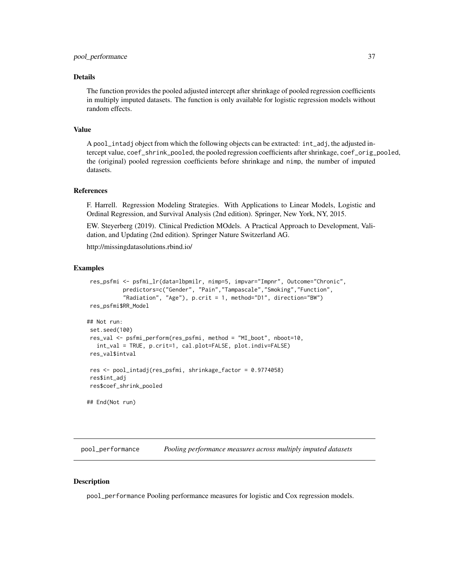#### <span id="page-36-0"></span>Details

The function provides the pooled adjusted intercept after shrinkage of pooled regression coefficients in multiply imputed datasets. The function is only available for logistic regression models without random effects.

# Value

A pool\_intadj object from which the following objects can be extracted: int\_adj, the adjusted intercept value, coef\_shrink\_pooled, the pooled regression coefficients after shrinkage, coef\_orig\_pooled, the (original) pooled regression coefficients before shrinkage and nimp, the number of imputed datasets.

#### References

F. Harrell. Regression Modeling Strategies. With Applications to Linear Models, Logistic and Ordinal Regression, and Survival Analysis (2nd edition). Springer, New York, NY, 2015.

EW. Steyerberg (2019). Clinical Prediction MOdels. A Practical Approach to Development, Validation, and Updating (2nd edition). Springer Nature Switzerland AG.

http://missingdatasolutions.rbind.io/

# Examples

```
res_psfmi <- psfmi_lr(data=lbpmilr, nimp=5, impvar="Impnr", Outcome="Chronic",
           predictors=c("Gender", "Pain","Tampascale","Smoking","Function",
           "Radiation", "Age"), p.crit = 1, method="D1", direction="BW")
res_psfmi$RR_Model
## Not run:
set.seed(100)
res_val <- psfmi_perform(res_psfmi, method = "MI_boot", nboot=10,
  int_val = TRUE, p.crit=1, cal.plot=FALSE, plot.indiv=FALSE)
res_val$intval
res <- pool_intadj(res_psfmi, shrinkage_factor = 0.9774058)
res$int_adj
res$coef_shrink_pooled
## End(Not run)
```
<span id="page-36-1"></span>pool\_performance *Pooling performance measures across multiply imputed datasets*

#### Description

pool\_performance Pooling performance measures for logistic and Cox regression models.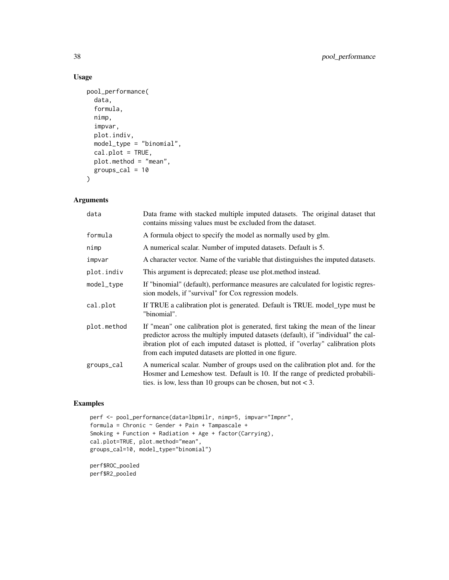# Usage

```
pool_performance(
  data,
  formula,
 nimp,
  impvar,
 plot.indiv,
 model_type = "binomial",
 cal.plot = TRUE,
 plot.method = "mean",
 groups_cal = 10\mathcal{L}
```
# Arguments

| data        | Data frame with stacked multiple imputed datasets. The original dataset that<br>contains missing values must be excluded from the dataset.                                                                                                                                                                          |
|-------------|---------------------------------------------------------------------------------------------------------------------------------------------------------------------------------------------------------------------------------------------------------------------------------------------------------------------|
| formula     | A formula object to specify the model as normally used by glm.                                                                                                                                                                                                                                                      |
| nimp        | A numerical scalar. Number of imputed datasets. Default is 5.                                                                                                                                                                                                                                                       |
| impvar      | A character vector. Name of the variable that distinguishes the imputed datasets.                                                                                                                                                                                                                                   |
| plot.indiv  | This argument is deprecated; please use plot.method instead.                                                                                                                                                                                                                                                        |
| model_type  | If "binomial" (default), performance measures are calculated for logistic regres-<br>sion models, if "survival" for Cox regression models.                                                                                                                                                                          |
| cal.plot    | If TRUE a calibration plot is generated. Default is TRUE, model_type must be<br>"binomial".                                                                                                                                                                                                                         |
| plot.method | If "mean" one calibration plot is generated, first taking the mean of the linear<br>predictor across the multiply imputed datasets (default), if "individual" the cal-<br>ibration plot of each imputed dataset is plotted, if "overlay" calibration plots<br>from each imputed datasets are plotted in one figure. |
| groups_cal  | A numerical scalar. Number of groups used on the calibration plot and. for the<br>Hosmer and Lemeshow test. Default is 10. If the range of predicted probabili-<br>ties. is low, less than 10 groups can be chosen, but not $<$ 3.                                                                                  |

# Examples

```
perf <- pool_performance(data=lbpmilr, nimp=5, impvar="Impnr",
formula = Chronic ~ Gender + Pain + Tampascale +
Smoking + Function + Radiation + Age + factor(Carrying),
cal.plot=TRUE, plot.method="mean",
groups_cal=10, model_type="binomial")
```
perf\$ROC\_pooled perf\$R2\_pooled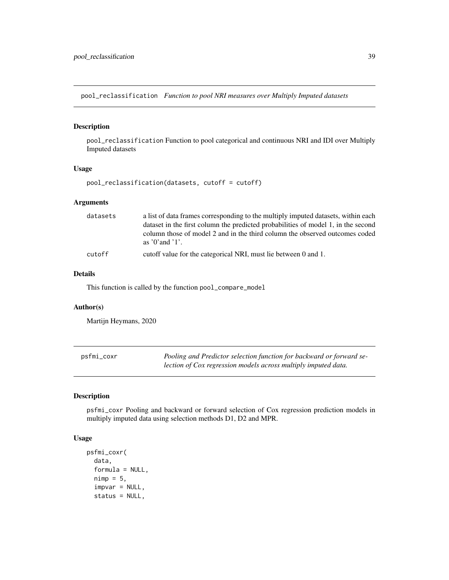<span id="page-38-0"></span>pool\_reclassification *Function to pool NRI measures over Multiply Imputed datasets*

# Description

pool\_reclassification Function to pool categorical and continuous NRI and IDI over Multiply Imputed datasets

# Usage

```
pool_reclassification(datasets, cutoff = cutoff)
```
#### Arguments

| datasets | a list of data frames corresponding to the multiply imputed datasets, within each<br>dataset in the first column the predicted probabilities of model 1, in the second |
|----------|------------------------------------------------------------------------------------------------------------------------------------------------------------------------|
|          | column those of model 2 and in the third column the observed outcomes coded<br>as $'0'$ and $'1'$ .                                                                    |
| cutoff   | cutoff value for the categorical NRI, must lie between 0 and 1.                                                                                                        |

#### Details

This function is called by the function pool\_compare\_model

#### Author(s)

Martijn Heymans, 2020

| psfmi_coxr | Pooling and Predictor selection function for backward or forward se- |
|------------|----------------------------------------------------------------------|
|            | lection of Cox regression models across multiply imputed data.       |

# Description

psfmi\_coxr Pooling and backward or forward selection of Cox regression prediction models in multiply imputed data using selection methods D1, D2 and MPR.

#### Usage

```
psfmi_coxr(
  data,
  formula = NULL,
  nimp = 5,impvar = NULL,
  status = NULL,
```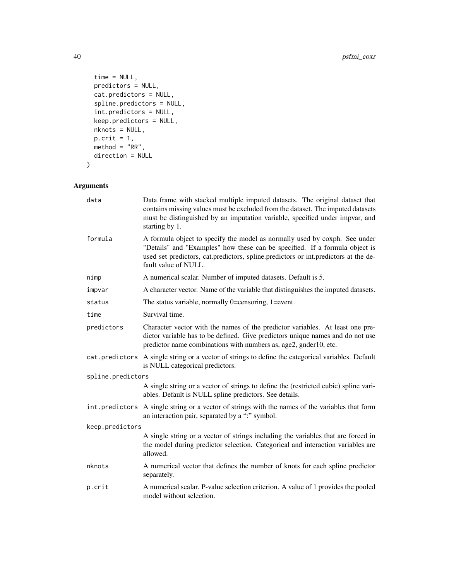```
time = NULL,
 predictors = NULL,
 cat.predictors = NULL,
  spline.predictors = NULL,
 int.predictors = NULL,
 keep.predictors = NULL,
 nknots = NULL,
  p.crit = 1,method = "RR",
 direction = NULL
\mathcal{L}
```
# Arguments

| data              | Data frame with stacked multiple imputed datasets. The original dataset that<br>contains missing values must be excluded from the dataset. The imputed datasets<br>must be distinguished by an imputation variable, specified under impvar, and<br>starting by 1.        |
|-------------------|--------------------------------------------------------------------------------------------------------------------------------------------------------------------------------------------------------------------------------------------------------------------------|
| formula           | A formula object to specify the model as normally used by coxph. See under<br>"Details" and "Examples" how these can be specified. If a formula object is<br>used set predictors, cat.predictors, spline.predictors or int.predictors at the de-<br>fault value of NULL. |
| nimp              | A numerical scalar. Number of imputed datasets. Default is 5.                                                                                                                                                                                                            |
| impvar            | A character vector. Name of the variable that distinguishes the imputed datasets.                                                                                                                                                                                        |
| status            | The status variable, normally 0=censoring, 1=event.                                                                                                                                                                                                                      |
| time              | Survival time.                                                                                                                                                                                                                                                           |
| predictors        | Character vector with the names of the predictor variables. At least one pre-<br>dictor variable has to be defined. Give predictors unique names and do not use<br>predictor name combinations with numbers as, age2, gnder10, etc.                                      |
|                   | cat.predictors A single string or a vector of strings to define the categorical variables. Default<br>is NULL categorical predictors.                                                                                                                                    |
| spline.predictors |                                                                                                                                                                                                                                                                          |
|                   | A single string or a vector of strings to define the (restricted cubic) spline vari-<br>ables. Default is NULL spline predictors. See details.                                                                                                                           |
|                   | int. predictors A single string or a vector of strings with the names of the variables that form<br>an interaction pair, separated by a ":" symbol.                                                                                                                      |
| keep.predictors   |                                                                                                                                                                                                                                                                          |
|                   | A single string or a vector of strings including the variables that are forced in<br>the model during predictor selection. Categorical and interaction variables are<br>allowed.                                                                                         |
| nknots            | A numerical vector that defines the number of knots for each spline predictor<br>separately.                                                                                                                                                                             |
| p.crit            | A numerical scalar. P-value selection criterion. A value of 1 provides the pooled<br>model without selection.                                                                                                                                                            |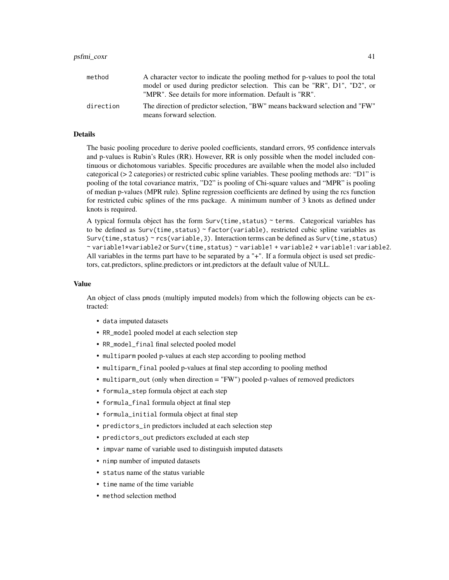| method    | A character vector to indicate the pooling method for p-values to pool the total                         |
|-----------|----------------------------------------------------------------------------------------------------------|
|           | model or used during predictor selection. This can be "RR", D1", "D2", or                                |
|           | "MPR". See details for more information. Default is "RR".                                                |
| direction | The direction of predictor selection, "BW" means backward selection and "FW"<br>means forward selection. |

#### Details

The basic pooling procedure to derive pooled coefficients, standard errors, 95 confidence intervals and p-values is Rubin's Rules (RR). However, RR is only possible when the model included continuous or dichotomous variables. Specific procedures are available when the model also included categorical (> 2 categories) or restricted cubic spline variables. These pooling methods are: "D1" is pooling of the total covariance matrix, "D2" is pooling of Chi-square values and "MPR" is pooling of median p-values (MPR rule). Spline regression coefficients are defined by using the rcs function for restricted cubic splines of the rms package. A minimum number of 3 knots as defined under knots is required.

A typical formula object has the form Surv(time,status) ~ terms. Categorical variables has to be defined as  $Surv(time, status)$   $\sim$  factor(variable), restricted cubic spline variables as Surv(time, status) ~ rcs(variable, 3). Interaction terms can be defined as Surv(time, status) ~ variable1\*variable2 or Surv(time,status) ~ variable1 + variable2 + variable1:variable2. All variables in the terms part have to be separated by a "+". If a formula object is used set predictors, cat.predictors, spline.predictors or int.predictors at the default value of NULL.

#### Value

An object of class pmods (multiply imputed models) from which the following objects can be extracted:

- data imputed datasets
- RR\_model pooled model at each selection step
- RR\_model\_final final selected pooled model
- multiparm pooled p-values at each step according to pooling method
- multiparm\_final pooled p-values at final step according to pooling method
- multiparm\_out (only when direction = "FW") pooled p-values of removed predictors
- formula\_step formula object at each step
- formula\_final formula object at final step
- formula\_initial formula object at final step
- predictors\_in predictors included at each selection step
- predictors\_out predictors excluded at each step
- impvar name of variable used to distinguish imputed datasets
- nimp number of imputed datasets
- status name of the status variable
- time name of the time variable
- method selection method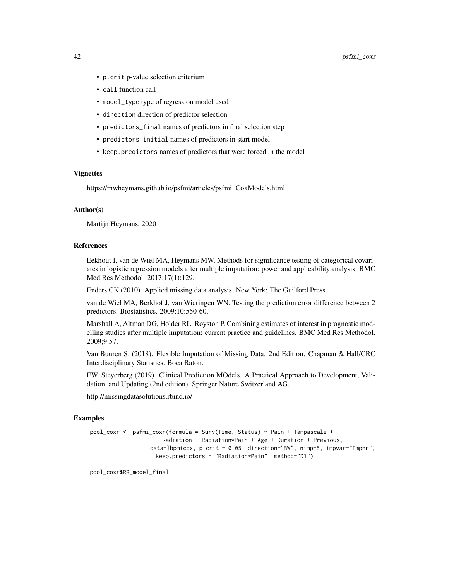- p.crit p-value selection criterium
- call function call
- model\_type type of regression model used
- direction direction of predictor selection
- predictors\_final names of predictors in final selection step
- predictors\_initial names of predictors in start model
- keep.predictors names of predictors that were forced in the model

#### Vignettes

https://mwheymans.github.io/psfmi/articles/psfmi\_CoxModels.html

# Author(s)

Martijn Heymans, 2020

# References

Eekhout I, van de Wiel MA, Heymans MW. Methods for significance testing of categorical covariates in logistic regression models after multiple imputation: power and applicability analysis. BMC Med Res Methodol. 2017;17(1):129.

Enders CK (2010). Applied missing data analysis. New York: The Guilford Press.

van de Wiel MA, Berkhof J, van Wieringen WN. Testing the prediction error difference between 2 predictors. Biostatistics. 2009;10:550-60.

Marshall A, Altman DG, Holder RL, Royston P. Combining estimates of interest in prognostic modelling studies after multiple imputation: current practice and guidelines. BMC Med Res Methodol. 2009;9:57.

Van Buuren S. (2018). Flexible Imputation of Missing Data. 2nd Edition. Chapman & Hall/CRC Interdisciplinary Statistics. Boca Raton.

EW. Steyerberg (2019). Clinical Prediction MOdels. A Practical Approach to Development, Validation, and Updating (2nd edition). Springer Nature Switzerland AG.

http://missingdatasolutions.rbind.io/

#### Examples

```
pool_coxr <- psfmi_coxr(formula = Surv(Time, Status) ~ Pain + Tampascale +
                     Radiation + Radiation*Pain + Age + Duration + Previous,
                  data=lbpmicox, p.crit = 0.05, direction="BW", nimp=5, impvar="Impnr",
                   keep.predictors = "Radiation*Pain", method="D1")
```
pool\_coxr\$RR\_model\_final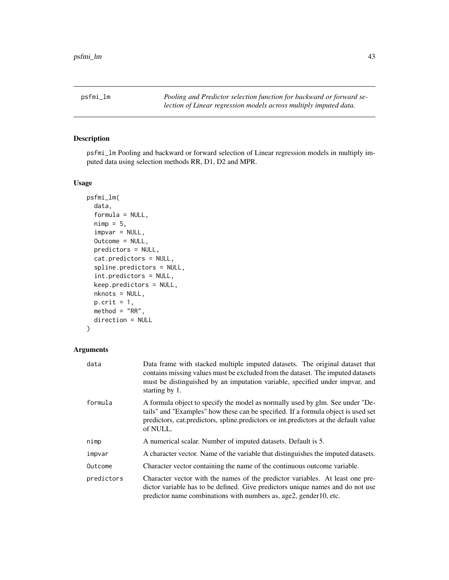<span id="page-42-0"></span>psfmi\_lm *Pooling and Predictor selection function for backward or forward selection of Linear regression models across multiply imputed data.*

# Description

psfmi\_lm Pooling and backward or forward selection of Linear regression models in multiply imputed data using selection methods RR, D1, D2 and MPR.

#### Usage

```
psfmi_lm(
  data,
  formula = NULL,
  nimp = 5,impvar = NULL,
  Outcome = NULL,
 predictors = NULL,
  cat.predictors = NULL,
  spline.predictors = NULL,
  int.predictors = NULL,
  keep.predictors = NULL,
  nknots = NULL,
 p.crit = 1,
 method = "RR",direction = NULL
)
```
# Arguments

| data       | Data frame with stacked multiple imputed datasets. The original dataset that<br>contains missing values must be excluded from the dataset. The imputed datasets<br>must be distinguished by an imputation variable, specified under impvar, and<br>starting by 1.         |
|------------|---------------------------------------------------------------------------------------------------------------------------------------------------------------------------------------------------------------------------------------------------------------------------|
| formula    | A formula object to specify the model as normally used by glm. See under "De-<br>tails" and "Examples" how these can be specified. If a formula object is used set<br>predictors, cat. predictors, spline. predictors or int. predictors at the default value<br>of NULL. |
| nimp       | A numerical scalar. Number of imputed datasets. Default is 5.                                                                                                                                                                                                             |
| impvar     | A character vector. Name of the variable that distinguishes the imputed datasets.                                                                                                                                                                                         |
| Outcome    | Character vector containing the name of the continuous outcome variable.                                                                                                                                                                                                  |
| predictors | Character vector with the names of the predictor variables. At least one pre-<br>dictor variable has to be defined. Give predictors unique names and do not use<br>predictor name combinations with numbers as, age2, gender10, etc.                                      |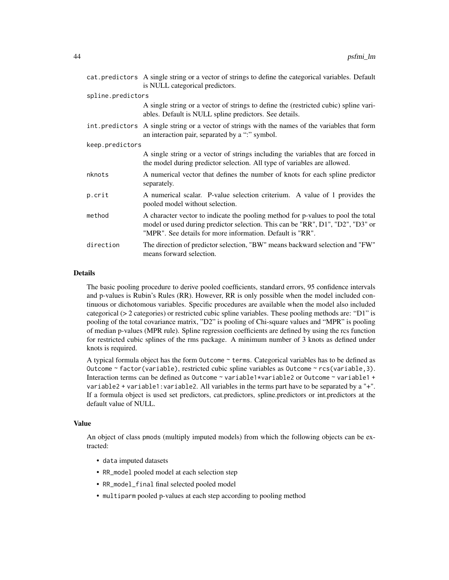|                   | cat.predictors A single string or a vector of strings to define the categorical variables. Default<br>is NULL categorical predictors.                                                                                           |  |
|-------------------|---------------------------------------------------------------------------------------------------------------------------------------------------------------------------------------------------------------------------------|--|
| spline.predictors |                                                                                                                                                                                                                                 |  |
|                   | A single string or a vector of strings to define the (restricted cubic) spline vari-<br>ables. Default is NULL spline predictors. See details.                                                                                  |  |
|                   | int.predictors A single string or a vector of strings with the names of the variables that form<br>an interaction pair, separated by a ":" symbol.                                                                              |  |
| keep.predictors   |                                                                                                                                                                                                                                 |  |
|                   | A single string or a vector of strings including the variables that are forced in<br>the model during predictor selection. All type of variables are allowed.                                                                   |  |
| nknots            | A numerical vector that defines the number of knots for each spline predictor<br>separately.                                                                                                                                    |  |
| p.crit            | A numerical scalar. P-value selection criterium. A value of 1 provides the<br>pooled model without selection.                                                                                                                   |  |
| method            | A character vector to indicate the pooling method for p-values to pool the total<br>model or used during predictor selection. This can be "RR", D1", "D2", "D3" or<br>"MPR". See details for more information. Default is "RR". |  |
| direction         | The direction of predictor selection, "BW" means backward selection and "FW"<br>means forward selection.                                                                                                                        |  |

#### Details

The basic pooling procedure to derive pooled coefficients, standard errors, 95 confidence intervals and p-values is Rubin's Rules (RR). However, RR is only possible when the model included continuous or dichotomous variables. Specific procedures are available when the model also included categorical (> 2 categories) or restricted cubic spline variables. These pooling methods are: "D1" is pooling of the total covariance matrix, "D2" is pooling of Chi-square values and "MPR" is pooling of median p-values (MPR rule). Spline regression coefficients are defined by using the rcs function for restricted cubic splines of the rms package. A minimum number of 3 knots as defined under knots is required.

A typical formula object has the form Outcome ~ terms. Categorical variables has to be defined as Outcome ~ factor(variable), restricted cubic spline variables as Outcome ~ rcs(variable,3). Interaction terms can be defined as Outcome ~ variable1\*variable2 or Outcome ~ variable1 + variable2 + variable1:variable2. All variables in the terms part have to be separated by a "+". If a formula object is used set predictors, cat.predictors, spline.predictors or int.predictors at the default value of NULL.

# Value

An object of class pmods (multiply imputed models) from which the following objects can be extracted:

- data imputed datasets
- RR\_model pooled model at each selection step
- RR\_model\_final final selected pooled model
- multiparm pooled p-values at each step according to pooling method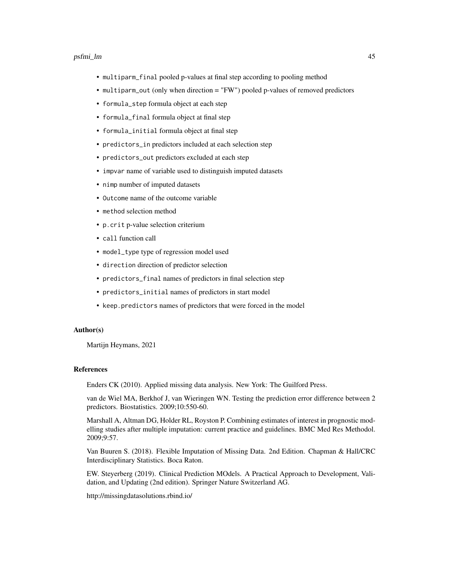#### psfmi\_lm 45

- multiparm\_final pooled p-values at final step according to pooling method
- multiparm\_out (only when direction = "FW") pooled p-values of removed predictors
- formula\_step formula object at each step
- formula\_final formula object at final step
- formula\_initial formula object at final step
- predictors\_in predictors included at each selection step
- predictors\_out predictors excluded at each step
- impvar name of variable used to distinguish imputed datasets
- nimp number of imputed datasets
- Outcome name of the outcome variable
- method selection method
- p.crit p-value selection criterium
- call function call
- model\_type type of regression model used
- direction direction of predictor selection
- predictors\_final names of predictors in final selection step
- predictors\_initial names of predictors in start model
- keep.predictors names of predictors that were forced in the model

#### Author(s)

Martijn Heymans, 2021

#### References

Enders CK (2010). Applied missing data analysis. New York: The Guilford Press.

van de Wiel MA, Berkhof J, van Wieringen WN. Testing the prediction error difference between 2 predictors. Biostatistics. 2009;10:550-60.

Marshall A, Altman DG, Holder RL, Royston P. Combining estimates of interest in prognostic modelling studies after multiple imputation: current practice and guidelines. BMC Med Res Methodol. 2009;9:57.

Van Buuren S. (2018). Flexible Imputation of Missing Data. 2nd Edition. Chapman & Hall/CRC Interdisciplinary Statistics. Boca Raton.

EW. Steyerberg (2019). Clinical Prediction MOdels. A Practical Approach to Development, Validation, and Updating (2nd edition). Springer Nature Switzerland AG.

http://missingdatasolutions.rbind.io/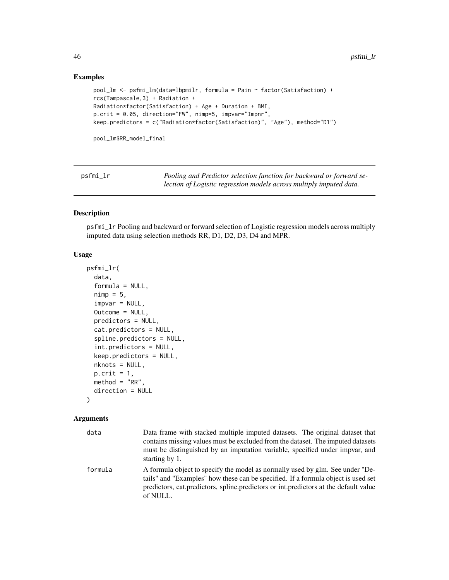# Examples

```
pool_lm <- psfmi_lm(data=lbpmilr, formula = Pain ~ factor(Satisfaction) +
rcs(Tampascale,3) + Radiation +
Radiation*factor(Satisfaction) + Age + Duration + BMI,
p.crit = 0.05, direction="FW", nimp=5, impvar="Impnr",
keep.predictors = c("Radiation*factor(Satisfaction)", "Age"), method="D1")
```

```
pool_lm$RR_model_final
```
psfmi\_lr *Pooling and Predictor selection function for backward or forward selection of Logistic regression models across multiply imputed data.*

# Description

psfmi\_lr Pooling and backward or forward selection of Logistic regression models across multiply imputed data using selection methods RR, D1, D2, D3, D4 and MPR.

# Usage

```
psfmi_lr(
  data,
  formula = NULL,
  nimp = 5,impvar = NULL,Outcome = NULL,
  predictors = NULL,
  cat.predictors = NULL,
  spline.predictors = NULL,
  int.predictors = NULL,
  keep.predictors = NULL,
  nknots = NULL,
 p.crit = 1,
 method = "RR",direction = NULL
)
```
# Arguments

| data    | Data frame with stacked multiple imputed datasets. The original dataset that<br>contains missing values must be excluded from the dataset. The imputed datasets<br>must be distinguished by an imputation variable, specified under impvar, and<br>starting by 1.      |
|---------|------------------------------------------------------------------------------------------------------------------------------------------------------------------------------------------------------------------------------------------------------------------------|
| formula | A formula object to specify the model as normally used by glm. See under "De-<br>tails" and "Examples" how these can be specified. If a formula object is used set<br>predictors, cat.predictors, spline.predictors or int.predictors at the default value<br>of NULL. |

<span id="page-45-0"></span>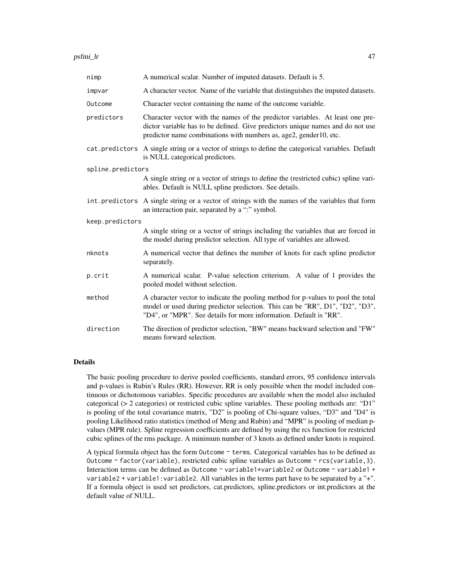| nimp              | A numerical scalar. Number of imputed datasets. Default is 5.                                                                                                                                                                          |
|-------------------|----------------------------------------------------------------------------------------------------------------------------------------------------------------------------------------------------------------------------------------|
| impvar            | A character vector. Name of the variable that distinguishes the imputed datasets.                                                                                                                                                      |
| Outcome           | Character vector containing the name of the outcome variable.                                                                                                                                                                          |
| predictors        | Character vector with the names of the predictor variables. At least one pre-<br>dictor variable has to be defined. Give predictors unique names and do not use<br>predictor name combinations with numbers as, age2, gender10, etc.   |
|                   | cat. predictors A single string or a vector of strings to define the categorical variables. Default<br>is NULL categorical predictors.                                                                                                 |
| spline.predictors |                                                                                                                                                                                                                                        |
|                   | A single string or a vector of strings to define the (restricted cubic) spline vari-<br>ables. Default is NULL spline predictors. See details.                                                                                         |
|                   | int. predictors A single string or a vector of strings with the names of the variables that form<br>an interaction pair, separated by a ":" symbol.                                                                                    |
| keep.predictors   |                                                                                                                                                                                                                                        |
|                   | A single string or a vector of strings including the variables that are forced in<br>the model during predictor selection. All type of variables are allowed.                                                                          |
| nknots            | A numerical vector that defines the number of knots for each spline predictor<br>separately.                                                                                                                                           |
| p.crit            | A numerical scalar. P-value selection criterium. A value of 1 provides the<br>pooled model without selection.                                                                                                                          |
| method            | A character vector to indicate the pooling method for p-values to pool the total<br>model or used during predictor selection. This can be "RR", D1", "D2", "D3",<br>"D4", or "MPR". See details for more information. Default is "RR". |
| direction         | The direction of predictor selection, "BW" means backward selection and "FW"<br>means forward selection.                                                                                                                               |

#### Details

The basic pooling procedure to derive pooled coefficients, standard errors, 95 confidence intervals and p-values is Rubin's Rules (RR). However, RR is only possible when the model included continuous or dichotomous variables. Specific procedures are available when the model also included categorical (> 2 categories) or restricted cubic spline variables. These pooling methods are: "D1" is pooling of the total covariance matrix, "D2" is pooling of Chi-square values, "D3" and "D4" is pooling Likelihood ratio statistics (method of Meng and Rubin) and "MPR" is pooling of median pvalues (MPR rule). Spline regression coefficients are defined by using the rcs function for restricted cubic splines of the rms package. A minimum number of 3 knots as defined under knots is required.

A typical formula object has the form Outcome  $\sim$  terms. Categorical variables has to be defined as Outcome ~ factor(variable), restricted cubic spline variables as Outcome ~ rcs(variable,3). Interaction terms can be defined as Outcome ~ variable1\*variable2 or Outcome ~ variable1 + variable2 + variable1:variable2. All variables in the terms part have to be separated by a "+". If a formula object is used set predictors, cat.predictors, spline.predictors or int.predictors at the default value of NULL.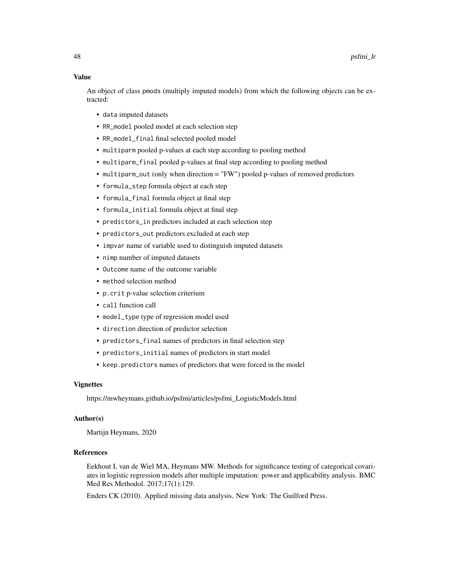#### Value

An object of class pmods (multiply imputed models) from which the following objects can be extracted:

- data imputed datasets
- RR\_model pooled model at each selection step
- RR\_model\_final final selected pooled model
- multiparm pooled p-values at each step according to pooling method
- multiparm\_final pooled p-values at final step according to pooling method
- multiparm\_out (only when direction = "FW") pooled p-values of removed predictors
- formula\_step formula object at each step
- formula\_final formula object at final step
- formula\_initial formula object at final step
- predictors\_in predictors included at each selection step
- predictors\_out predictors excluded at each step
- impvar name of variable used to distinguish imputed datasets
- nimp number of imputed datasets
- Outcome name of the outcome variable
- method selection method
- p.crit p-value selection criterium
- call function call
- model\_type type of regression model used
- direction direction of predictor selection
- predictors\_final names of predictors in final selection step
- predictors\_initial names of predictors in start model
- keep.predictors names of predictors that were forced in the model

#### Vignettes

https://mwheymans.github.io/psfmi/articles/psfmi\_LogisticModels.html

#### Author(s)

Martijn Heymans, 2020

#### References

Eekhout I, van de Wiel MA, Heymans MW. Methods for significance testing of categorical covariates in logistic regression models after multiple imputation: power and applicability analysis. BMC Med Res Methodol. 2017;17(1):129.

Enders CK (2010). Applied missing data analysis. New York: The Guilford Press.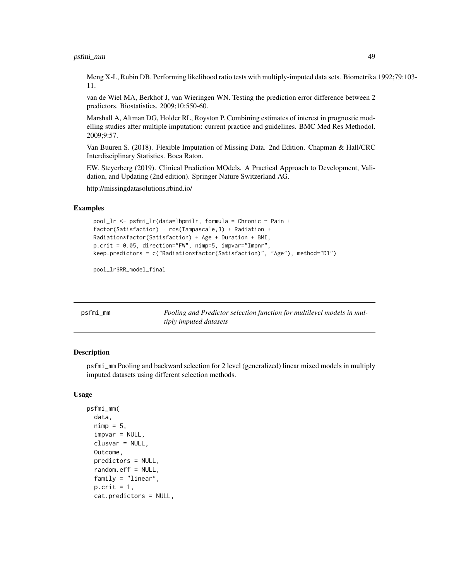<span id="page-48-0"></span>Meng X-L, Rubin DB. Performing likelihood ratio tests with multiply-imputed data sets. Biometrika.1992;79:103- 11.

van de Wiel MA, Berkhof J, van Wieringen WN. Testing the prediction error difference between 2 predictors. Biostatistics. 2009;10:550-60.

Marshall A, Altman DG, Holder RL, Royston P. Combining estimates of interest in prognostic modelling studies after multiple imputation: current practice and guidelines. BMC Med Res Methodol. 2009;9:57.

Van Buuren S. (2018). Flexible Imputation of Missing Data. 2nd Edition. Chapman & Hall/CRC Interdisciplinary Statistics. Boca Raton.

EW. Steyerberg (2019). Clinical Prediction MOdels. A Practical Approach to Development, Validation, and Updating (2nd edition). Springer Nature Switzerland AG.

http://missingdatasolutions.rbind.io/

#### Examples

```
pool_lr <- psfmi_lr(data=lbpmilr, formula = Chronic ~ Pain +
factor(Satisfaction) + rcs(Tampascale,3) + Radiation +
Radiation*factor(Satisfaction) + Age + Duration + BMI,
p.crit = 0.05, direction="FW", nimp=5, impvar="Impnr",
keep.predictors = c("Radiation*factor(Satisfaction)", "Age"), method="D1")
```
pool\_lr\$RR\_model\_final

| psfmi_mm | Pooling and Predictor selection function for multilevel models in mul- |
|----------|------------------------------------------------------------------------|
|          | tiply imputed datasets                                                 |

#### **Description**

psfmi\_mm Pooling and backward selection for 2 level (generalized) linear mixed models in multiply imputed datasets using different selection methods.

#### Usage

```
psfmi_mm(
  data,
  nimp = 5,impvar = NULL,clusvar = NULL,
  Outcome,
  predictors = NULL,
  random.eff = NULL,
  family = "linear",
  p.crit = 1,
  cat.predictors = NULL,
```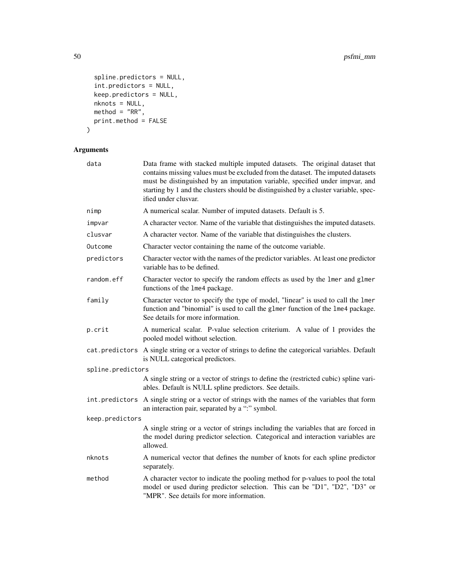```
spline.predictors = NULL,
  int.predictors = NULL,
  keep.predictors = NULL,
  nknots = NULL,\text{method} = \text{"RR"},
  print.method = FALSE
)
```
# Arguments

| data              | Data frame with stacked multiple imputed datasets. The original dataset that<br>contains missing values must be excluded from the dataset. The imputed datasets<br>must be distinguished by an imputation variable, specified under impvar, and<br>starting by 1 and the clusters should be distinguished by a cluster variable, spec-<br>ified under clusvar. |
|-------------------|----------------------------------------------------------------------------------------------------------------------------------------------------------------------------------------------------------------------------------------------------------------------------------------------------------------------------------------------------------------|
| nimp              | A numerical scalar. Number of imputed datasets. Default is 5.                                                                                                                                                                                                                                                                                                  |
| impvar            | A character vector. Name of the variable that distinguishes the imputed datasets.                                                                                                                                                                                                                                                                              |
| clusvar           | A character vector. Name of the variable that distinguishes the clusters.                                                                                                                                                                                                                                                                                      |
| Outcome           | Character vector containing the name of the outcome variable.                                                                                                                                                                                                                                                                                                  |
| predictors        | Character vector with the names of the predictor variables. At least one predictor<br>variable has to be defined.                                                                                                                                                                                                                                              |
| random.eff        | Character vector to specify the random effects as used by the lmer and glmer<br>functions of the 1me4 package.                                                                                                                                                                                                                                                 |
| family            | Character vector to specify the type of model, "linear" is used to call the 1mer<br>function and "binomial" is used to call the glmer function of the lme4 package.<br>See details for more information.                                                                                                                                                       |
| p.crit            | A numerical scalar. P-value selection criterium. A value of 1 provides the<br>pooled model without selection.                                                                                                                                                                                                                                                  |
|                   | cat.predictors A single string or a vector of strings to define the categorical variables. Default<br>is NULL categorical predictors.                                                                                                                                                                                                                          |
| spline.predictors |                                                                                                                                                                                                                                                                                                                                                                |
|                   | A single string or a vector of strings to define the (restricted cubic) spline vari-<br>ables. Default is NULL spline predictors. See details.                                                                                                                                                                                                                 |
| int.predictors    | A single string or a vector of strings with the names of the variables that form<br>an interaction pair, separated by a ":" symbol.                                                                                                                                                                                                                            |
| keep.predictors   |                                                                                                                                                                                                                                                                                                                                                                |
|                   | A single string or a vector of strings including the variables that are forced in<br>the model during predictor selection. Categorical and interaction variables are<br>allowed.                                                                                                                                                                               |
| nknots            | A numerical vector that defines the number of knots for each spline predictor<br>separately.                                                                                                                                                                                                                                                                   |
| method            | A character vector to indicate the pooling method for p-values to pool the total<br>model or used during predictor selection. This can be "D1", "D2", "D3" or<br>"MPR". See details for more information.                                                                                                                                                      |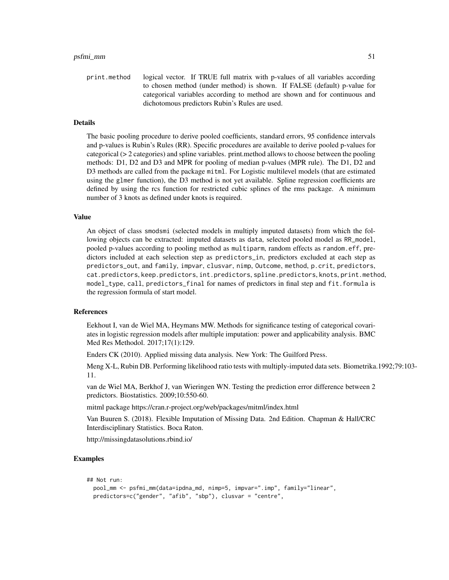print.method logical vector. If TRUE full matrix with p-values of all variables according to chosen method (under method) is shown. If FALSE (default) p-value for categorical variables according to method are shown and for continuous and dichotomous predictors Rubin's Rules are used.

#### Details

The basic pooling procedure to derive pooled coefficients, standard errors, 95 confidence intervals and p-values is Rubin's Rules (RR). Specific procedures are available to derive pooled p-values for categorical (> 2 categories) and spline variables. print.method allows to choose between the pooling methods: D1, D2 and D3 and MPR for pooling of median p-values (MPR rule). The D1, D2 and D3 methods are called from the package mitml. For Logistic multilevel models (that are estimated using the glmer function), the D3 method is not yet available. Spline regression coefficients are defined by using the rcs function for restricted cubic splines of the rms package. A minimum number of 3 knots as defined under knots is required.

# Value

An object of class smodsmi (selected models in multiply imputed datasets) from which the following objects can be extracted: imputed datasets as data, selected pooled model as RR\_model, pooled p-values according to pooling method as multiparm, random effects as random.eff, predictors included at each selection step as predictors\_in, predictors excluded at each step as predictors\_out, and family, impvar, clusvar, nimp, Outcome, method, p.crit, predictors, cat.predictors, keep.predictors, int.predictors, spline.predictors, knots, print.method, model\_type, call, predictors\_final for names of predictors in final step and fit.formula is the regression formula of start model.

#### References

Eekhout I, van de Wiel MA, Heymans MW. Methods for significance testing of categorical covariates in logistic regression models after multiple imputation: power and applicability analysis. BMC Med Res Methodol. 2017;17(1):129.

Enders CK (2010). Applied missing data analysis. New York: The Guilford Press.

Meng X-L, Rubin DB. Performing likelihood ratio tests with multiply-imputed data sets. Biometrika.1992;79:103- 11.

van de Wiel MA, Berkhof J, van Wieringen WN. Testing the prediction error difference between 2 predictors. Biostatistics. 2009;10:550-60.

mitml package https://cran.r-project.org/web/packages/mitml/index.html

Van Buuren S. (2018). Flexible Imputation of Missing Data. 2nd Edition. Chapman & Hall/CRC Interdisciplinary Statistics. Boca Raton.

http://missingdatasolutions.rbind.io/

```
## Not run:
 pool_mm <- psfmi_mm(data=ipdna_md, nimp=5, impvar=".imp", family="linear",
 predictors=c("gender", "afib", "sbp"), clusvar = "centre",
```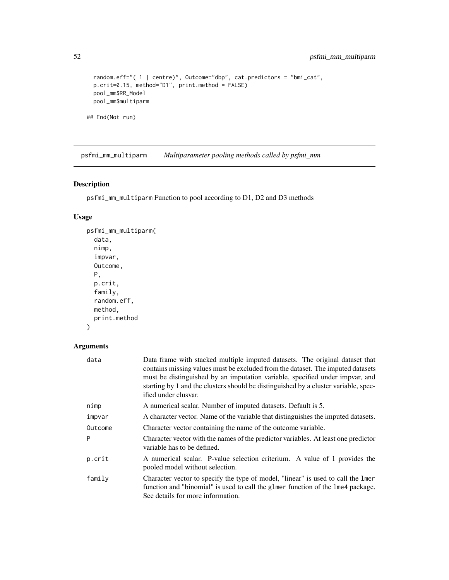```
random.eff="( 1 | centre)", Outcome="dbp", cat.predictors = "bmi_cat",
 p.crit=0.15, method="D1", print.method = FALSE)
 pool_mm$RR_Model
 pool_mm$multiparm
## End(Not run)
```
psfmi\_mm\_multiparm *Multiparameter pooling methods called by psfmi\_mm*

# Description

psfmi\_mm\_multiparm Function to pool according to D1, D2 and D3 methods

# Usage

```
psfmi_mm_multiparm(
  data,
 nimp,
  impvar,
 Outcome,
 P,
 p.crit,
  family,
  random.eff,
 method,
 print.method
```
# )

# Arguments

| data    | Data frame with stacked multiple imputed datasets. The original dataset that<br>contains missing values must be excluded from the dataset. The imputed datasets<br>must be distinguished by an imputation variable, specified under impvar, and<br>starting by 1 and the clusters should be distinguished by a cluster variable, spec-<br>ified under clusvar. |
|---------|----------------------------------------------------------------------------------------------------------------------------------------------------------------------------------------------------------------------------------------------------------------------------------------------------------------------------------------------------------------|
| nimp    | A numerical scalar. Number of imputed datasets. Default is 5.                                                                                                                                                                                                                                                                                                  |
| impvar  | A character vector. Name of the variable that distinguishes the imputed datasets.                                                                                                                                                                                                                                                                              |
| Outcome | Character vector containing the name of the outcome variable.                                                                                                                                                                                                                                                                                                  |
| Þ       | Character vector with the names of the predictor variables. At least one predictor<br>variable has to be defined.                                                                                                                                                                                                                                              |
| p.crit  | A numerical scalar. P-value selection criterium. A value of 1 provides the<br>pooled model without selection.                                                                                                                                                                                                                                                  |
| family  | Character vector to specify the type of model, "linear" is used to call the lmer<br>function and "binomial" is used to call the glmer function of the lme4 package.<br>See details for more information.                                                                                                                                                       |

<span id="page-51-0"></span>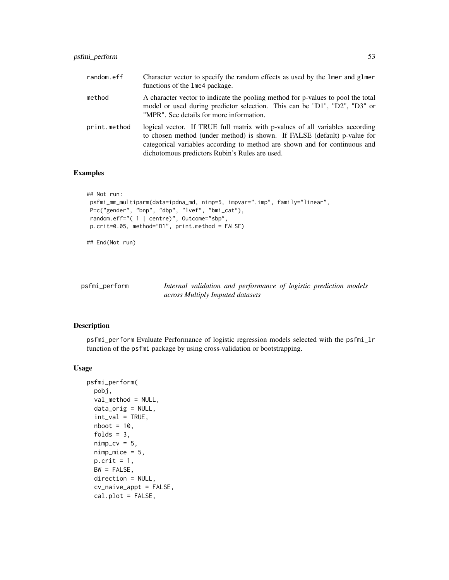<span id="page-52-0"></span>

| random.eff   | Character vector to specify the random effects as used by the lmer and glmer<br>functions of the 1me4 package.                                                                                                                                                                           |
|--------------|------------------------------------------------------------------------------------------------------------------------------------------------------------------------------------------------------------------------------------------------------------------------------------------|
| method       | A character vector to indicate the pooling method for p-values to pool the total<br>model or used during predictor selection. This can be "D1", "D2", "D3" or<br>"MPR". See details for more information.                                                                                |
| print.method | logical vector. If TRUE full matrix with p-values of all variables according<br>to chosen method (under method) is shown. If FALSE (default) p-value for<br>categorical variables according to method are shown and for continuous and<br>dichotomous predictors Rubin's Rules are used. |

# Examples

```
## Not run:
psfmi_mm_multiparm(data=ipdna_md, nimp=5, impvar=".imp", family="linear",
P=c("gender", "bnp", "dbp", "lvef", "bmi_cat"),
random.eff="( 1 | centre)", Outcome="sbp",
p.crit=0.05, method="D1", print.method = FALSE)
```
## End(Not run)

<span id="page-52-1"></span>

| psfmi_perform |                                  | Internal validation and performance of logistic prediction models |  |  |
|---------------|----------------------------------|-------------------------------------------------------------------|--|--|
|               | across Multiply Imputed datasets |                                                                   |  |  |

# Description

psfmi\_perform Evaluate Performance of logistic regression models selected with the psfmi\_lr function of the psfmi package by using cross-validation or bootstrapping.

#### Usage

```
psfmi_perform(
 pobj,
  val_method = NULL,
  data_orig = NULL,
  int\_val = TRUE,
  nboot = 10,
  folds = 3,
  nimp_{cv} = 5,
  nimp_mice = 5,
 p.crit = 1,
 BW = FALSE,
  direction = NULL,
  cv_naive_appt = FALSE,
  cal.plot = FALSE,
```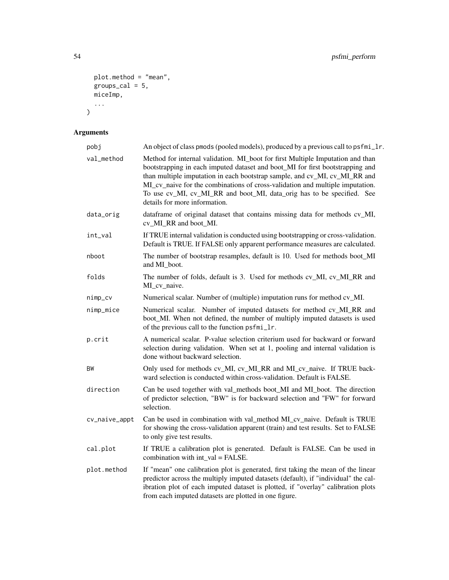```
plot.method = "mean",
  groups_cal = 5,
 miceImp,
  ...
\mathcal{L}
```
# Arguments

| pobj          | An object of class pmods (pooled models), produced by a previous call to psfmi_lr.                                                                                                                                                                                                                                                                                                                                                        |  |  |
|---------------|-------------------------------------------------------------------------------------------------------------------------------------------------------------------------------------------------------------------------------------------------------------------------------------------------------------------------------------------------------------------------------------------------------------------------------------------|--|--|
| val_method    | Method for internal validation. MI_boot for first Multiple Imputation and than<br>bootstrapping in each imputed dataset and boot_MI for first bootstrapping and<br>than multiple imputation in each bootstrap sample, and cv_MI, cv_MI_RR and<br>MI_cv_naive for the combinations of cross-validation and multiple imputation.<br>To use cv_MI, cv_MI_RR and boot_MI, data_orig has to be specified. See<br>details for more information. |  |  |
| data_orig     | dataframe of original dataset that contains missing data for methods cv_MI,<br>cv_MI_RR and boot_MI.                                                                                                                                                                                                                                                                                                                                      |  |  |
| int_val       | If TRUE internal validation is conducted using bootstrapping or cross-validation.<br>Default is TRUE. If FALSE only apparent performance measures are calculated.                                                                                                                                                                                                                                                                         |  |  |
| nboot         | The number of bootstrap resamples, default is 10. Used for methods boot_MI<br>and MI_boot.                                                                                                                                                                                                                                                                                                                                                |  |  |
| folds         | The number of folds, default is 3. Used for methods cv_MI, cv_MI_RR and<br>MI_cv_naive.                                                                                                                                                                                                                                                                                                                                                   |  |  |
| nimp_cv       | Numerical scalar. Number of (multiple) imputation runs for method cv_MI.                                                                                                                                                                                                                                                                                                                                                                  |  |  |
| nimp_mice     | Numerical scalar. Number of imputed datasets for method cv_MI_RR and<br>boot_MI. When not defined, the number of multiply imputed datasets is used<br>of the previous call to the function psfmi_lr.                                                                                                                                                                                                                                      |  |  |
| p.crit        | A numerical scalar. P-value selection criterium used for backward or forward<br>selection during validation. When set at 1, pooling and internal validation is<br>done without backward selection.                                                                                                                                                                                                                                        |  |  |
| BW            | Only used for methods cv_MI, cv_MI_RR and MI_cv_naive. If TRUE back-<br>ward selection is conducted within cross-validation. Default is FALSE.                                                                                                                                                                                                                                                                                            |  |  |
| direction     | Can be used together with val_methods boot_MI and MI_boot. The direction<br>of predictor selection, "BW" is for backward selection and "FW" for forward<br>selection.                                                                                                                                                                                                                                                                     |  |  |
| cv_naive_appt | Can be used in combination with val_method MI_cv_naive. Default is TRUE<br>for showing the cross-validation apparent (train) and test results. Set to FALSE<br>to only give test results.                                                                                                                                                                                                                                                 |  |  |
| cal.plot      | If TRUE a calibration plot is generated. Default is FALSE. Can be used in<br>combination with $int$ val = FALSE.                                                                                                                                                                                                                                                                                                                          |  |  |
| plot.method   | If "mean" one calibration plot is generated, first taking the mean of the linear<br>predictor across the multiply imputed datasets (default), if "individual" the cal-<br>ibration plot of each imputed dataset is plotted, if "overlay" calibration plots<br>from each imputed datasets are plotted in one figure.                                                                                                                       |  |  |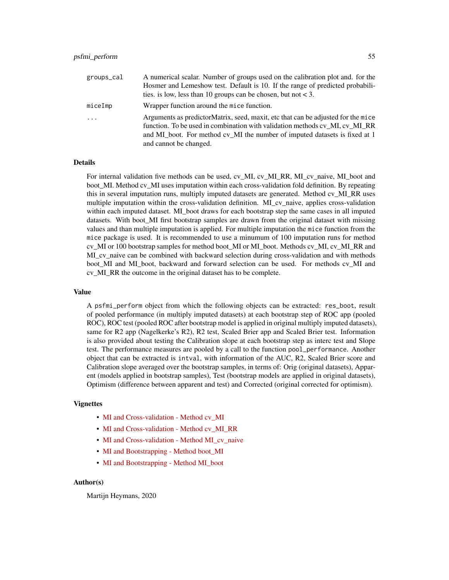| groups_cal | A numerical scalar. Number of groups used on the calibration plot and. for the                                                                                                                                                                |
|------------|-----------------------------------------------------------------------------------------------------------------------------------------------------------------------------------------------------------------------------------------------|
|            | Hosmer and Lemeshow test. Default is 10. If the range of predicted probabili-                                                                                                                                                                 |
|            | ties. is low, less than 10 groups can be chosen, but not $<$ 3.                                                                                                                                                                               |
| miceImp    | Wrapper function around the mice function.                                                                                                                                                                                                    |
| $\cdot$    | Arguments as predictorMatrix, seed, maxit, etc that can be adjusted for the mice<br>function. To be used in combination with validation methods cv MI, cv MI RR<br>and MI boot. For method cv MI the number of imputed datasets is fixed at 1 |
|            | and cannot be changed.                                                                                                                                                                                                                        |

#### Details

For internal validation five methods can be used, cv\_MI, cv\_MI\_RR, MI\_cv\_naive, MI\_boot and boot\_MI. Method cv\_MI uses imputation within each cross-validation fold definition. By repeating this in several imputation runs, multiply imputed datasets are generated. Method cv\_MI\_RR uses multiple imputation within the cross-validation definition. MI\_cv\_naive, applies cross-validation within each imputed dataset. MI\_boot draws for each bootstrap step the same cases in all imputed datasets. With boot MI first bootstrap samples are drawn from the original dataset with missing values and than multiple imputation is applied. For multiple imputation the mice function from the mice package is used. It is recommended to use a minumum of 100 imputation runs for method cv\_MI or 100 bootstrap samples for method boot\_MI or MI\_boot. Methods cv\_MI, cv\_MI\_RR and MI cv naive can be combined with backward selection during cross-validation and with methods boot MI and MI boot, backward and forward selection can be used. For methods cv MI and cv\_MI\_RR the outcome in the original dataset has to be complete.

#### Value

A psfmi\_perform object from which the following objects can be extracted: res\_boot, result of pooled performance (in multiply imputed datasets) at each bootstrap step of ROC app (pooled ROC), ROC test (pooled ROC after bootstrap model is applied in original multiply imputed datasets), same for R2 app (Nagelkerke's R2), R2 test, Scaled Brier app and Scaled Brier test. Information is also provided about testing the Calibration slope at each bootstrap step as interc test and Slope test. The performance measures are pooled by a call to the function pool\_performance. Another object that can be extracted is intval, with information of the AUC, R2, Scaled Brier score and Calibration slope averaged over the bootstrap samples, in terms of: Orig (original datasets), Apparent (models applied in bootstrap samples), Test (bootstrap models are applied in original datasets), Optimism (difference between apparent and test) and Corrected (original corrected for optimism).

#### Vignettes

- [MI and Cross-validation Method cv\\_MI](https://mwheymans.github.io/psfmi/articles/cv_MI.html)
- [MI and Cross-validation Method cv\\_MI\\_RR](https://mwheymans.github.io/psfmi/articles/cv_MI_RR.html)
- [MI and Cross-validation Method MI\\_cv\\_naive](https://mwheymans.github.io/psfmi/articles/MI_cv_naive.html)
- [MI and Bootstrapping Method boot\\_MI](https://mwheymans.github.io/psfmi/articles/boot_MI.html)
- [MI and Bootstrapping Method MI\\_boot](https://mwheymans.github.io/psfmi/articles/MI_boot.html)

#### Author(s)

Martijn Heymans, 2020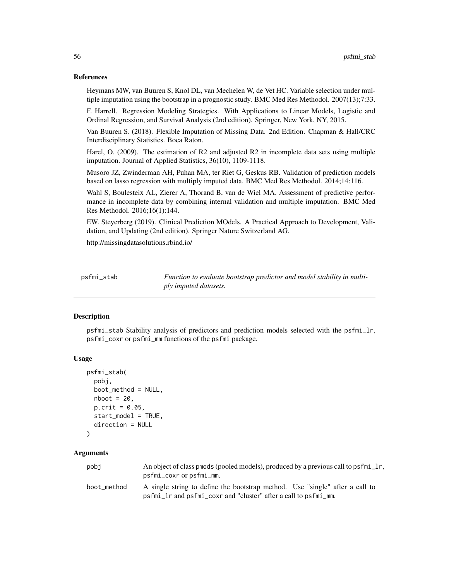#### <span id="page-55-0"></span>References

Heymans MW, van Buuren S, Knol DL, van Mechelen W, de Vet HC. Variable selection under multiple imputation using the bootstrap in a prognostic study. BMC Med Res Methodol. 2007(13);7:33.

F. Harrell. Regression Modeling Strategies. With Applications to Linear Models, Logistic and Ordinal Regression, and Survival Analysis (2nd edition). Springer, New York, NY, 2015.

Van Buuren S. (2018). Flexible Imputation of Missing Data. 2nd Edition. Chapman & Hall/CRC Interdisciplinary Statistics. Boca Raton.

Harel, O. (2009). The estimation of R2 and adjusted R2 in incomplete data sets using multiple imputation. Journal of Applied Statistics, 36(10), 1109-1118.

Musoro JZ, Zwinderman AH, Puhan MA, ter Riet G, Geskus RB. Validation of prediction models based on lasso regression with multiply imputed data. BMC Med Res Methodol. 2014;14:116.

Wahl S, Boulesteix AL, Zierer A, Thorand B, van de Wiel MA. Assessment of predictive performance in incomplete data by combining internal validation and multiple imputation. BMC Med Res Methodol. 2016;16(1):144.

EW. Steyerberg (2019). Clinical Prediction MOdels. A Practical Approach to Development, Validation, and Updating (2nd edition). Springer Nature Switzerland AG.

http://missingdatasolutions.rbind.io/

psfmi\_stab *Function to evaluate bootstrap predictor and model stability in multiply imputed datasets.*

#### Description

psfmi\_stab Stability analysis of predictors and prediction models selected with the psfmi\_lr, psfmi\_coxr or psfmi\_mm functions of the psfmi package.

#### Usage

```
psfmi_stab(
  pobj,
 boot_method = NULL,
  nboot = 20,
 p.crit = 0.05,
  start_model = TRUE,
  direction = NULL
```
)

#### Arguments

| pobi        | An object of class pmods (pooled models), produced by a previous call to psfmi_lr,<br>psfmi_coxr or psfmi_mm.                                   |
|-------------|-------------------------------------------------------------------------------------------------------------------------------------------------|
| boot method | A single string to define the bootstrap method. Use "single" after a call to<br>psfmi_lr and psfmi_coxr and "cluster" after a call to psfmi_mm. |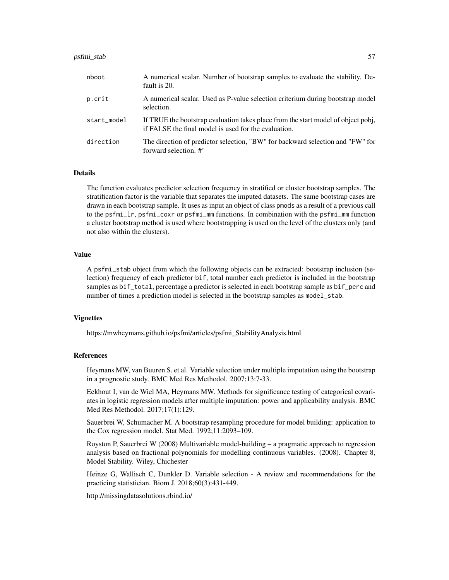#### psfmi\_stab 57

| nboot       | A numerical scalar. Number of bootstrap samples to evaluate the stability. De-<br>fault is 20.                                            |
|-------------|-------------------------------------------------------------------------------------------------------------------------------------------|
| p.crit      | A numerical scalar. Used as P-value selection criterium during bootstrap model<br>selection.                                              |
| start_model | If TRUE the bootstrap evaluation takes place from the start model of object pobj,<br>if FALSE the final model is used for the evaluation. |
| direction   | The direction of predictor selection, "BW" for backward selection and "FW" for<br>forward selection. #'                                   |

#### Details

The function evaluates predictor selection frequency in stratified or cluster bootstrap samples. The stratification factor is the variable that separates the imputed datasets. The same bootstrap cases are drawn in each bootstrap sample. It uses as input an object of class pmods as a result of a previous call to the psfmi\_lr, psfmi\_coxr or psfmi\_mm functions. In combination with the psfmi\_mm function a cluster bootstrap method is used where bootstrapping is used on the level of the clusters only (and not also within the clusters).

# Value

A psfmi\_stab object from which the following objects can be extracted: bootstrap inclusion (selection) frequency of each predictor bif, total number each predictor is included in the bootstrap samples as bif\_total, percentage a predictor is selected in each bootstrap sample as bif\_perc and number of times a prediction model is selected in the bootstrap samples as model\_stab.

# Vignettes

https://mwheymans.github.io/psfmi/articles/psfmi\_StabilityAnalysis.html

#### References

Heymans MW, van Buuren S. et al. Variable selection under multiple imputation using the bootstrap in a prognostic study. BMC Med Res Methodol. 2007;13:7-33.

Eekhout I, van de Wiel MA, Heymans MW. Methods for significance testing of categorical covariates in logistic regression models after multiple imputation: power and applicability analysis. BMC Med Res Methodol. 2017;17(1):129.

Sauerbrei W, Schumacher M. A bootstrap resampling procedure for model building: application to the Cox regression model. Stat Med. 1992;11:2093–109.

Royston P, Sauerbrei W (2008) Multivariable model-building – a pragmatic approach to regression analysis based on fractional polynomials for modelling continuous variables. (2008). Chapter 8, Model Stability. Wiley, Chichester

Heinze G, Wallisch C, Dunkler D. Variable selection - A review and recommendations for the practicing statistician. Biom J. 2018;60(3):431-449.

http://missingdatasolutions.rbind.io/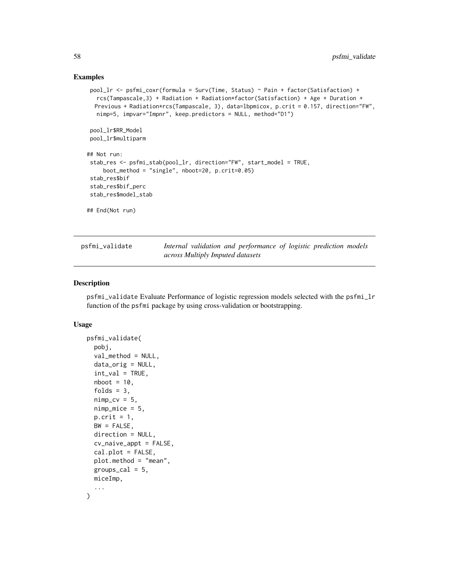#### Examples

```
pool_lr <- psfmi_coxr(formula = Surv(Time, Status) ~ Pain + factor(Satisfaction) +
  rcs(Tampascale,3) + Radiation + Radiation*factor(Satisfaction) + Age + Duration +
  Previous + Radiation*rcs(Tampascale, 3), data=lbpmicox, p.crit = 0.157, direction="FW",
  nimp=5, impvar="Impnr", keep.predictors = NULL, method="D1")
pool_lr$RR_Model
pool_lr$multiparm
## Not run:
stab_res <- psfmi_stab(pool_lr, direction="FW", start_model = TRUE,
    boot_method = "single", nboot=20, p.crit=0.05)
stab_res$bif
stab_res$bif_perc
stab_res$model_stab
## End(Not run)
```

| psfmi_validate | Internal validation and performance of logistic prediction models |  |  |
|----------------|-------------------------------------------------------------------|--|--|
|                | across Multiply Imputed datasets                                  |  |  |

# Description

psfmi\_validate Evaluate Performance of logistic regression models selected with the psfmi\_lr function of the psfmi package by using cross-validation or bootstrapping.

#### Usage

```
psfmi_validate(
  pobj,
  val_method = NULL,
  data_orig = NULL,
  int\_val = TRUE,nboot = 10,
  folds = 3,
  nimp_cv = 5,
  nimp_mice = 5,
  p.crit = 1,
  BW = FALSE,direction = NULL,
  cv_naive_appt = FALSE,
  cal.plot = FALSE,
  plot.method = "mean",
  groups_cal = 5,
 miceImp,
  ...
)
```
<span id="page-57-0"></span>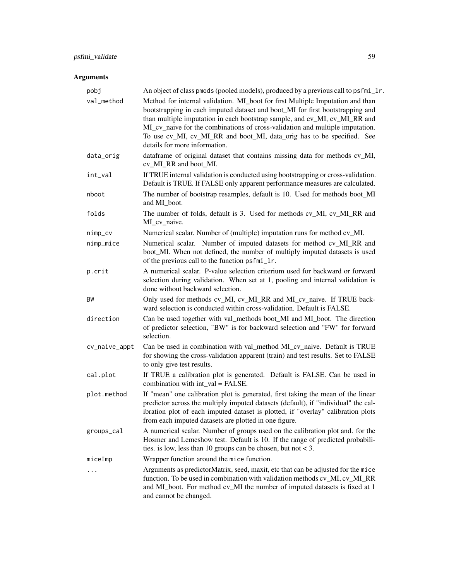# psfmi\_validate 59

# Arguments

| pobj          | An object of class pmods (pooled models), produced by a previous call to psfmi_lr.                                                                                                                                                                                                                                                                                                                                                        |
|---------------|-------------------------------------------------------------------------------------------------------------------------------------------------------------------------------------------------------------------------------------------------------------------------------------------------------------------------------------------------------------------------------------------------------------------------------------------|
| val_method    | Method for internal validation. MI_boot for first Multiple Imputation and than<br>bootstrapping in each imputed dataset and boot_MI for first bootstrapping and<br>than multiple imputation in each bootstrap sample, and cv_MI, cv_MI_RR and<br>MI_cv_naive for the combinations of cross-validation and multiple imputation.<br>To use cv_MI, cv_MI_RR and boot_MI, data_orig has to be specified. See<br>details for more information. |
| data_orig     | dataframe of original dataset that contains missing data for methods cv_MI,<br>cv_MI_RR and boot_MI.                                                                                                                                                                                                                                                                                                                                      |
| int_val       | If TRUE internal validation is conducted using bootstrapping or cross-validation.<br>Default is TRUE. If FALSE only apparent performance measures are calculated.                                                                                                                                                                                                                                                                         |
| nboot         | The number of bootstrap resamples, default is 10. Used for methods boot_MI<br>and MI_boot.                                                                                                                                                                                                                                                                                                                                                |
| folds         | The number of folds, default is 3. Used for methods cv_MI, cv_MI_RR and<br>MI_cv_naive.                                                                                                                                                                                                                                                                                                                                                   |
| nimp_cv       | Numerical scalar. Number of (multiple) imputation runs for method cv_MI.                                                                                                                                                                                                                                                                                                                                                                  |
| nimp_mice     | Numerical scalar. Number of imputed datasets for method cv_MI_RR and<br>boot_MI. When not defined, the number of multiply imputed datasets is used<br>of the previous call to the function psfmi_lr.                                                                                                                                                                                                                                      |
| p.crit        | A numerical scalar. P-value selection criterium used for backward or forward<br>selection during validation. When set at 1, pooling and internal validation is<br>done without backward selection.                                                                                                                                                                                                                                        |
| BW            | Only used for methods cv_MI, cv_MI_RR and MI_cv_naive. If TRUE back-<br>ward selection is conducted within cross-validation. Default is FALSE.                                                                                                                                                                                                                                                                                            |
| direction     | Can be used together with val_methods boot_MI and MI_boot. The direction<br>of predictor selection, "BW" is for backward selection and "FW" for forward<br>selection.                                                                                                                                                                                                                                                                     |
| cv_naive_appt | Can be used in combination with val_method MI_cv_naive. Default is TRUE<br>for showing the cross-validation apparent (train) and test results. Set to FALSE<br>to only give test results.                                                                                                                                                                                                                                                 |
| cal.plot      | If TRUE a calibration plot is generated. Default is FALSE. Can be used in<br>combination with $int_val = FALSE$ .                                                                                                                                                                                                                                                                                                                         |
| plot.method   | If "mean" one calibration plot is generated, first taking the mean of the linear<br>predictor across the multiply imputed datasets (default), if "individual" the cal-<br>ibration plot of each imputed dataset is plotted, if "overlay" calibration plots<br>from each imputed datasets are plotted in one figure.                                                                                                                       |
| groups_cal    | A numerical scalar. Number of groups used on the calibration plot and. for the<br>Hosmer and Lemeshow test. Default is 10. If the range of predicted probabili-<br>ties. is low, less than 10 groups can be chosen, but not $<$ 3.                                                                                                                                                                                                        |
| miceImp       | Wrapper function around the mice function.                                                                                                                                                                                                                                                                                                                                                                                                |
| $\ddots$      | Arguments as predictorMatrix, seed, maxit, etc that can be adjusted for the mice<br>function. To be used in combination with validation methods cv_MI, cv_MI_RR<br>and MI_boot. For method cv_MI the number of imputed datasets is fixed at 1<br>and cannot be changed.                                                                                                                                                                   |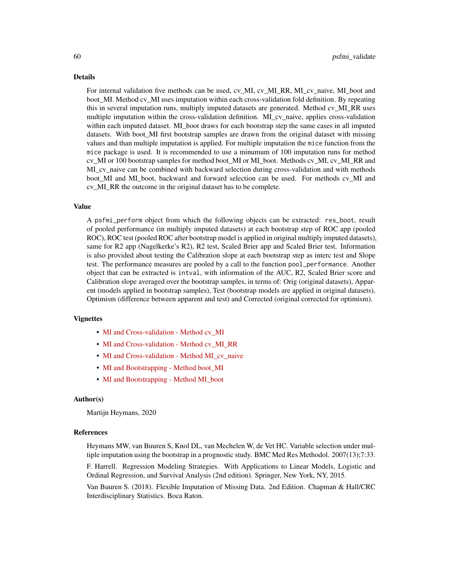#### Details

For internal validation five methods can be used, cv\_MI, cv\_MI\_RR, MI\_cv\_naive, MI\_boot and boot\_MI. Method cv\_MI uses imputation within each cross-validation fold definition. By repeating this in several imputation runs, multiply imputed datasets are generated. Method cv\_MI\_RR uses multiple imputation within the cross-validation definition. MI\_cv\_naive, applies cross-validation within each imputed dataset. MI\_boot draws for each bootstrap step the same cases in all imputed datasets. With boot MI first bootstrap samples are drawn from the original dataset with missing values and than multiple imputation is applied. For multiple imputation the mice function from the mice package is used. It is recommended to use a minumum of 100 imputation runs for method cv\_MI or 100 bootstrap samples for method boot\_MI or MI\_boot. Methods cv\_MI, cv\_MI\_RR and MI\_cv\_naive can be combined with backward selection during cross-validation and with methods boot MI and MI boot, backward and forward selection can be used. For methods cv MI and cv\_MI\_RR the outcome in the original dataset has to be complete.

#### Value

A psfmi\_perform object from which the following objects can be extracted: res\_boot, result of pooled performance (in multiply imputed datasets) at each bootstrap step of ROC app (pooled ROC), ROC test (pooled ROC after bootstrap model is applied in original multiply imputed datasets), same for R2 app (Nagelkerke's R2), R2 test, Scaled Brier app and Scaled Brier test. Information is also provided about testing the Calibration slope at each bootstrap step as interc test and Slope test. The performance measures are pooled by a call to the function pool\_performance. Another object that can be extracted is intval, with information of the AUC, R2, Scaled Brier score and Calibration slope averaged over the bootstrap samples, in terms of: Orig (original datasets), Apparent (models applied in bootstrap samples), Test (bootstrap models are applied in original datasets), Optimism (difference between apparent and test) and Corrected (original corrected for optimism).

#### Vignettes

- [MI and Cross-validation Method cv\\_MI](https://mwheymans.github.io/psfmi/articles/cv_MI.html)
- [MI and Cross-validation Method cv\\_MI\\_RR](https://mwheymans.github.io/psfmi/articles/cv_MI_RR.html)
- [MI and Cross-validation Method MI\\_cv\\_naive](https://mwheymans.github.io/psfmi/articles/MI_cv_naive.html)
- MI and Bootstrapping Method boot MI
- MI and Bootstrapping Method MI boot

#### Author(s)

Martijn Heymans, 2020

#### References

Heymans MW, van Buuren S, Knol DL, van Mechelen W, de Vet HC. Variable selection under multiple imputation using the bootstrap in a prognostic study. BMC Med Res Methodol. 2007(13);7:33.

F. Harrell. Regression Modeling Strategies. With Applications to Linear Models, Logistic and Ordinal Regression, and Survival Analysis (2nd edition). Springer, New York, NY, 2015.

Van Buuren S. (2018). Flexible Imputation of Missing Data. 2nd Edition. Chapman & Hall/CRC Interdisciplinary Statistics. Boca Raton.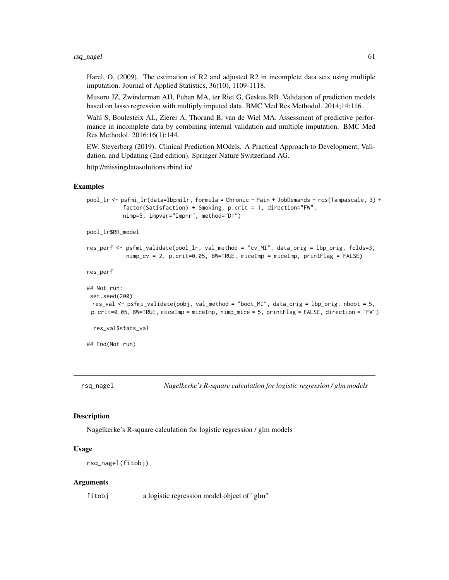<span id="page-60-0"></span>Harel, O. (2009). The estimation of R2 and adjusted R2 in incomplete data sets using multiple imputation. Journal of Applied Statistics, 36(10), 1109-1118.

Musoro JZ, Zwinderman AH, Puhan MA, ter Riet G, Geskus RB. Validation of prediction models based on lasso regression with multiply imputed data. BMC Med Res Methodol. 2014;14:116.

Wahl S, Boulesteix AL, Zierer A, Thorand B, van de Wiel MA. Assessment of predictive performance in incomplete data by combining internal validation and multiple imputation. BMC Med Res Methodol. 2016;16(1):144.

EW. Steyerberg (2019). Clinical Prediction MOdels. A Practical Approach to Development, Validation, and Updating (2nd edition). Springer Nature Switzerland AG.

http://missingdatasolutions.rbind.io/

#### Examples

```
pool_lr <- psfmi_lr(data=lbpmilr, formula = Chronic ~ Pain + JobDemands + rcs(Tampascale, 3) +
           factor(Satisfaction) + Smoking, p.crit = 1, direction="FW",
           nimp=5, impvar="Impnr", method="D1")
```
pool\_lr\$RR\_model

```
res_perf <- psfmi_validate(pool_lr, val_method = "cv_MI", data_orig = lbp_orig, folds=3,
           nimp_cv = 2, p.crit=0.05, BW=TRUE, miceImp = miceImp, printFlag = FALSE)
```
res\_perf

```
## Not run:
set.seed(200)
 res_val <- psfmi_validate(pobj, val_method = "boot_MI", data_orig = lbp_orig, nboot = 5,
 p.crit=0.05, BW=TRUE, miceImp = miceImp, nimp_mice = 5, printFlag = FALSE, direction = "FW")
 res_val$stats_val
```
## End(Not run)

rsq\_nagel *Nagelkerke's R-square calculation for logistic regression / glm models*

#### **Description**

Nagelkerke's R-square calculation for logistic regression / glm models

# Usage

```
rsq_nagel(fitobj)
```
#### Arguments

fitobj a logistic regression model object of "glm"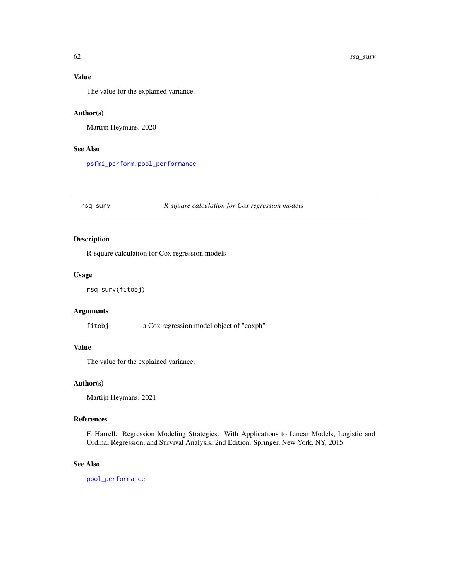# <span id="page-61-0"></span>Value

The value for the explained variance.

# Author(s)

Martijn Heymans, 2020

# See Also

[psfmi\\_perform](#page-52-1), [pool\\_performance](#page-36-1)

# rsq\_surv *R-square calculation for Cox regression models*

# Description

R-square calculation for Cox regression models

## Usage

```
rsq_surv(fitobj)
```
# Arguments

fitobj a Cox regression model object of "coxph"

# Value

The value for the explained variance.

### Author(s)

Martijn Heymans, 2021

#### References

F. Harrell. Regression Modeling Strategies. With Applications to Linear Models, Logistic and Ordinal Regression, and Survival Analysis. 2nd Edition. Springer, New York, NY, 2015.

#### See Also

[pool\\_performance](#page-36-1)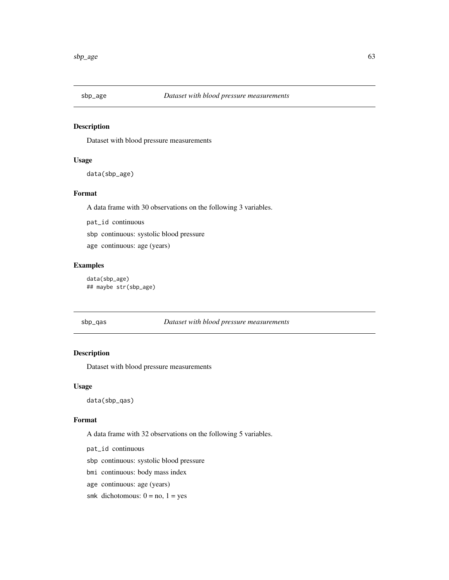<span id="page-62-0"></span>

Dataset with blood pressure measurements

# Usage

data(sbp\_age)

#### Format

A data frame with 30 observations on the following 3 variables.

pat\_id continuous

sbp continuous: systolic blood pressure

age continuous: age (years)

# Examples

data(sbp\_age) ## maybe str(sbp\_age)

#### sbp\_qas *Dataset with blood pressure measurements*

# Description

Dataset with blood pressure measurements

#### Usage

data(sbp\_qas)

#### Format

A data frame with 32 observations on the following 5 variables.

pat\_id continuous

sbp continuous: systolic blood pressure

- bmi continuous: body mass index
- age continuous: age (years)
- smk dichotomous:  $0 = no$ ,  $1 = yes$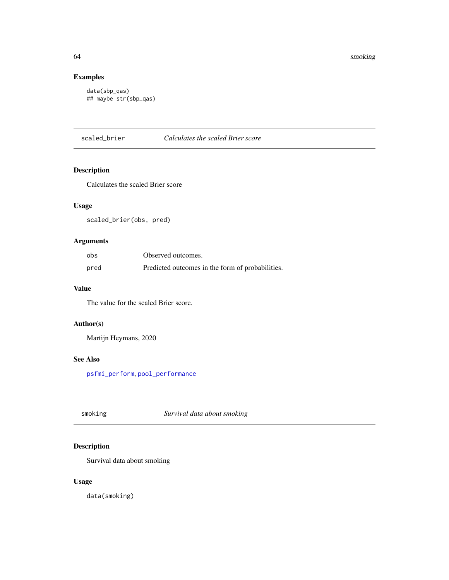# Examples

```
data(sbp_qas)
## maybe str(sbp_qas)
```
scaled\_brier *Calculates the scaled Brier score*

# Description

Calculates the scaled Brier score

# Usage

scaled\_brier(obs, pred)

# Arguments

| obs  | Observed outcomes.                               |
|------|--------------------------------------------------|
| pred | Predicted outcomes in the form of probabilities. |

#### Value

The value for the scaled Brier score.

# Author(s)

Martijn Heymans, 2020

# See Also

[psfmi\\_perform](#page-52-1), [pool\\_performance](#page-36-1)

smoking *Survival data about smoking*

# Description

Survival data about smoking

# Usage

data(smoking)

<span id="page-63-0"></span>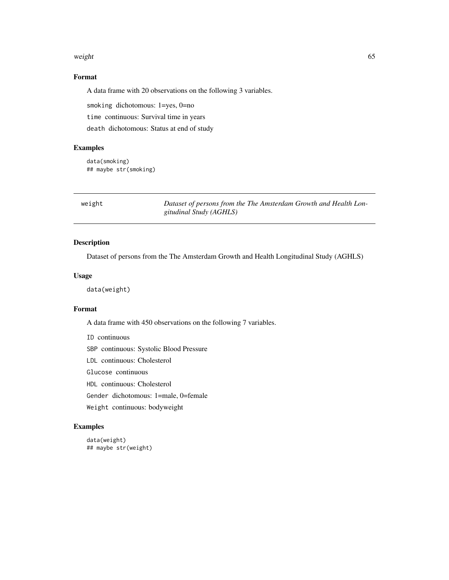#### <span id="page-64-0"></span>weight 65

# Format

A data frame with 20 observations on the following 3 variables.

smoking dichotomous: 1=yes, 0=no time continuous: Survival time in years death dichotomous: Status at end of study

#### Examples

data(smoking) ## maybe str(smoking)

weight *Dataset of persons from the The Amsterdam Growth and Health Longitudinal Study (AGHLS)*

# Description

Dataset of persons from the The Amsterdam Growth and Health Longitudinal Study (AGHLS)

#### Usage

data(weight)

#### Format

A data frame with 450 observations on the following 7 variables.

ID continuous

SBP continuous: Systolic Blood Pressure

LDL continuous: Cholesterol

Glucose continuous

HDL continuous: Cholesterol

Gender dichotomous: 1=male, 0=female

Weight continuous: bodyweight

```
data(weight)
## maybe str(weight)
```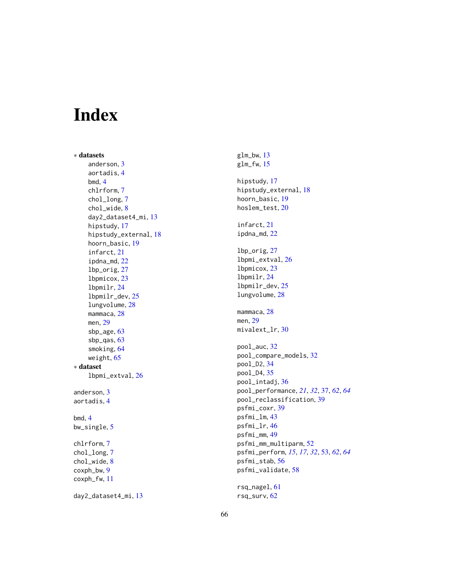# <span id="page-65-0"></span>Index

∗ datasets anderson , [3](#page-2-0) aortadis , [4](#page-3-0) bmd , [4](#page-3-0) chlrform , [7](#page-6-0) chol\_long , [7](#page-6-0) chol\_wide , [8](#page-7-0) day2\_dataset4\_mi , [13](#page-12-0) hipstudy , [17](#page-16-0) hipstudy\_external , [18](#page-17-0) hoorn\_basic , [19](#page-18-0) infarct , [21](#page-20-0) ipdna\_md , [22](#page-21-0) lbp\_orig , [27](#page-26-0) lbpmicox , [23](#page-22-0) lbpmilr , [24](#page-23-0) lbpmilr\_dev , [25](#page-24-0) lungvolume , [28](#page-27-0) mammaca, [28](#page-27-0) men , [29](#page-28-0) sbp\_age , [63](#page-62-0) sbp\_qas , [63](#page-62-0) smoking , [64](#page-63-0) weight, [65](#page-64-0) ∗ dataset lbpmi\_extval , [26](#page-25-0) anderson , [3](#page-2-0) aortadis , [4](#page-3-0) bmd , [4](#page-3-0) bw\_single, [5](#page-4-0) chlrform , [7](#page-6-0) chol\_long , [7](#page-6-0) chol\_wide, [8](#page-7-0) coxph\_bw , [9](#page-8-0) coxph\_fw , [11](#page-10-0) day2\_dataset4\_mi , [13](#page-12-0)

glm\_bw , [13](#page-12-0) glm\_fw , [15](#page-14-0) hipstudy , [17](#page-16-0) hipstudy\_external , [18](#page-17-0) hoorn\_basic , [19](#page-18-0) hoslem\_test , [20](#page-19-0) infarct , [21](#page-20-0) ipdna\_md , [22](#page-21-0) lbp\_orig , [27](#page-26-0) lbpmi\_extval , [26](#page-25-0) lbpmicox , [23](#page-22-0) lbpmilr , [24](#page-23-0) lbpmilr\_dev , [25](#page-24-0) lungvolume , [28](#page-27-0) mammaca, [28](#page-27-0) men , [29](#page-28-0) mivalext\_lr , [30](#page-29-0) pool\_auc , [32](#page-31-0) pool\_compare\_models , [32](#page-31-0) pool\_D2 , [34](#page-33-0) pool\_D4 , [35](#page-34-0) pool\_intadj , [36](#page-35-0) pool\_performance , *[21](#page-20-0)* , *[32](#page-31-0)* , [37](#page-36-0) , *[62](#page-61-0)* , *[64](#page-63-0)* pool\_reclassification , [39](#page-38-0) psfmi\_coxr , [39](#page-38-0) psfmi\_lm , [43](#page-42-0) psfmi\_lr , [46](#page-45-0) psfmi\_mm , [49](#page-48-0) psfmi\_mm\_multiparm , [52](#page-51-0) psfmi\_perform , *[15](#page-14-0)* , *[17](#page-16-0)* , *[32](#page-31-0)* , [53](#page-52-0) , *[62](#page-61-0)* , *[64](#page-63-0)* psfmi\_stab , [56](#page-55-0) psfmi\_validate , [58](#page-57-0) rsq\_nagel , [61](#page-60-0) rsq\_surv , [62](#page-61-0)